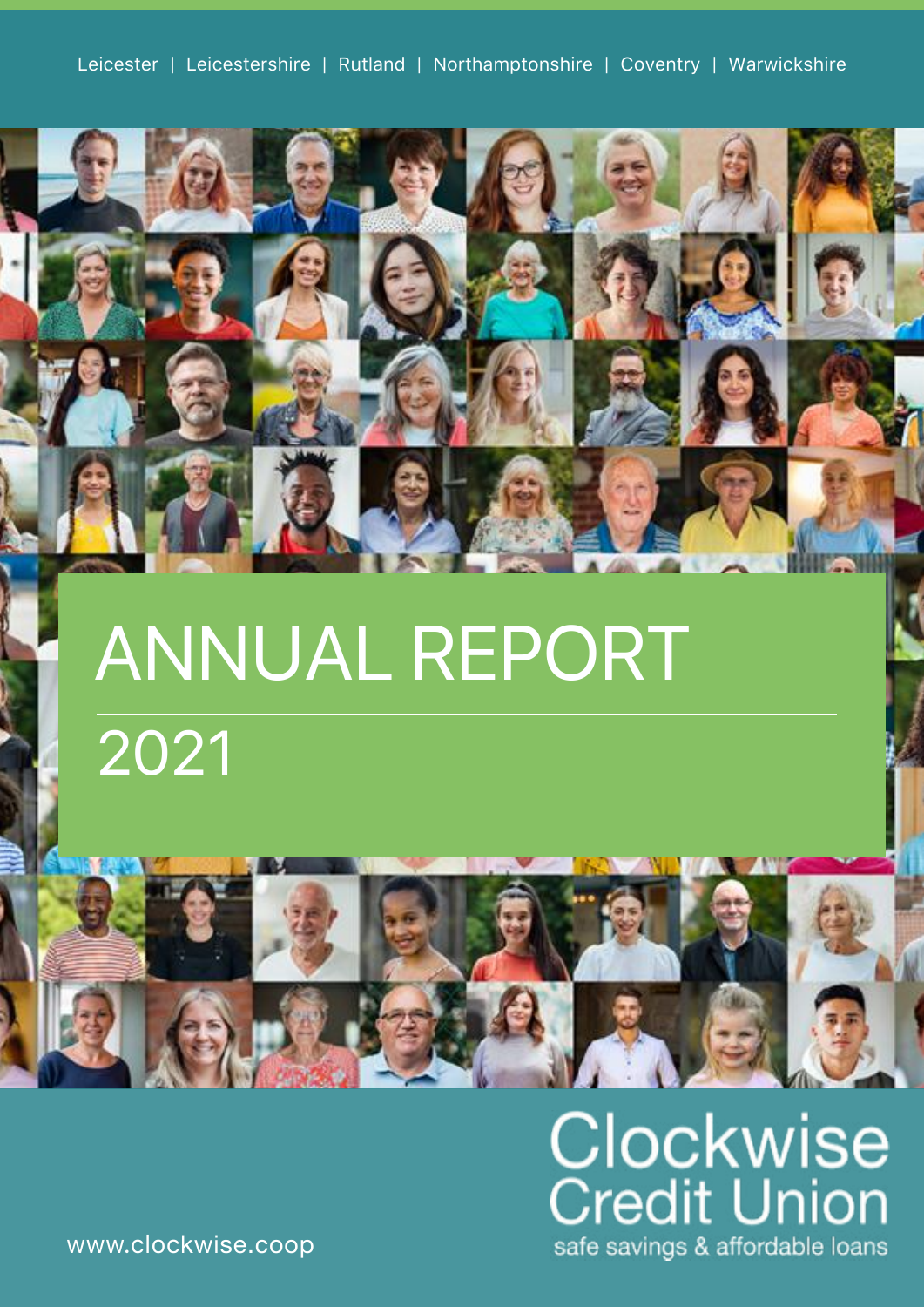

# ANNUAL REPORT 2021



**Clockwise**<br>Credit Union safe savings & affordable loans

www.clockwise.coop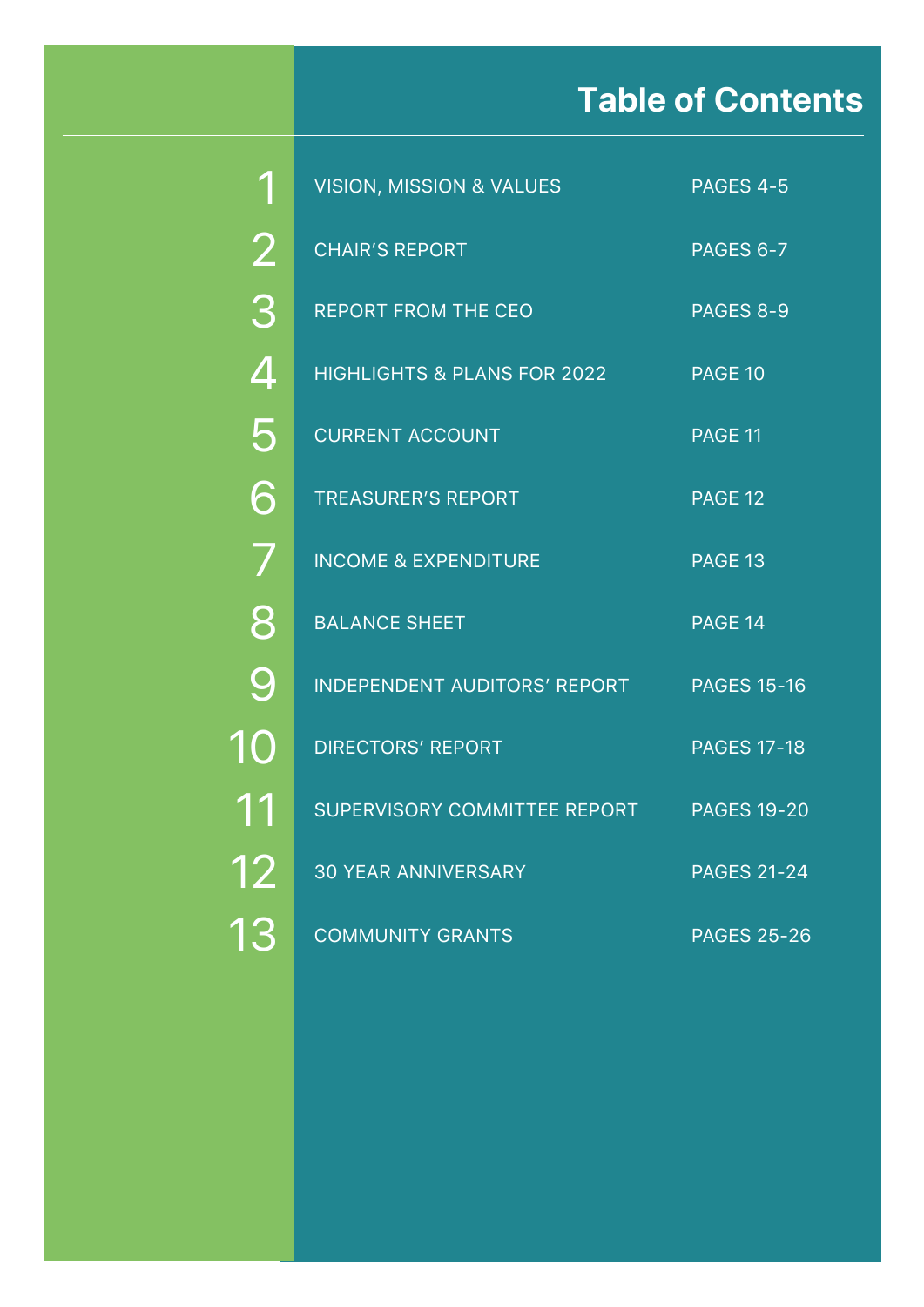# **Table of Contents**

|                | <b>VISION, MISSION &amp; VALUES</b>    | PAGES 4-5          |
|----------------|----------------------------------------|--------------------|
| $\overline{2}$ | <b>CHAIR'S REPORT</b>                  | <b>PAGES 6-7</b>   |
| 3              | <b>REPORT FROM THE CEO</b>             | PAGES 8-9          |
| $\overline{4}$ | <b>HIGHLIGHTS &amp; PLANS FOR 2022</b> | <b>PAGE 10</b>     |
| 5              | <b>CURRENT ACCOUNT</b>                 | PAGE 11            |
| 6              | <b>TREASURER'S REPORT</b>              | <b>PAGE 12</b>     |
| 7              | <b>INCOME &amp; EXPENDITURE</b>        | PAGE 13            |
| 8              | <b>BALANCE SHEET</b>                   | PAGE 14            |
| 9              | <b>INDEPENDENT AUDITORS' REPORT</b>    | <b>PAGES 15-16</b> |
| 10             | <b>DIRECTORS' REPORT</b>               | <b>PAGES 17-18</b> |
| 11             | <b>SUPERVISORY COMMITTEE REPORT</b>    | <b>PAGES 19-20</b> |
| 12             | <b>30 YEAR ANNIVERSARY</b>             | <b>PAGES 21-24</b> |
| 13             | <b>COMMUNITY GRANTS</b>                | <b>PAGES 25-26</b> |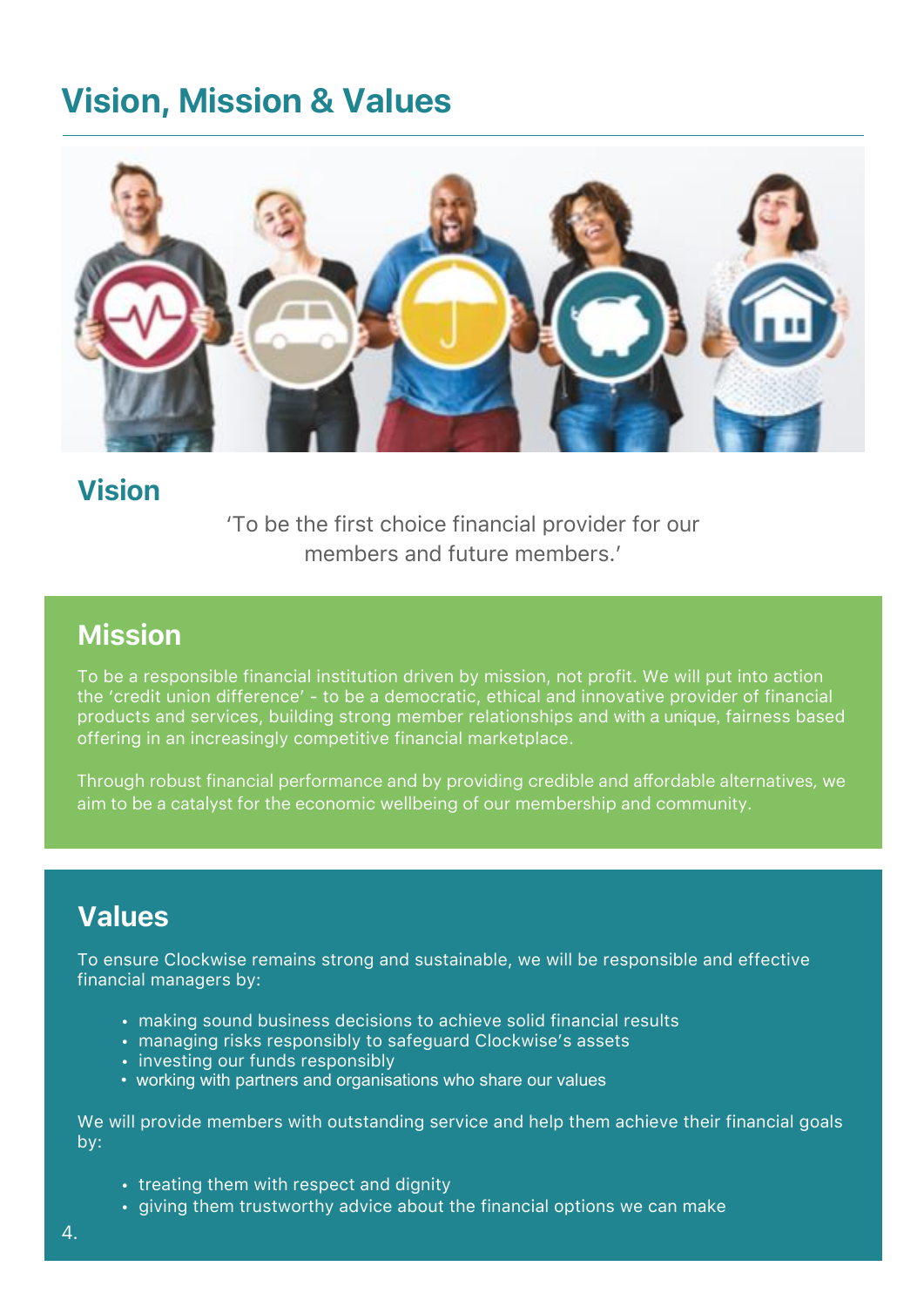### **Vision, Mission & Values**



### Vision

'To be the first choice financial provider for our members and future members.'

### Mission

To be a responsible financial institution driven by mission, not profit. We will put into action the 'credit union difference' - to be a democratic, ethical and innovative provider of financial products and services, building strong member relationships and with a unique, fairness based offering in an increasingly competitive financial marketplace.

Through robust financial performance and by providing credible and affordable alternatives, we aim to be a catalyst for the economic wellbeing of our membership and community.

### Values

To ensure Clockwise remains strong and sustainable, we will be responsible and effective financial managers by:

- making sound business decisions to achieve solid financial results
- managing risks responsibly to safeguard Clockwise's assets
- investing our funds responsibly
- working with partners and organisations who share our values

We will provide members with outstanding service and help them achieve their financial goals by:

- treating them with respect and dignity
- giving them trustworthy advice about the financial options we can make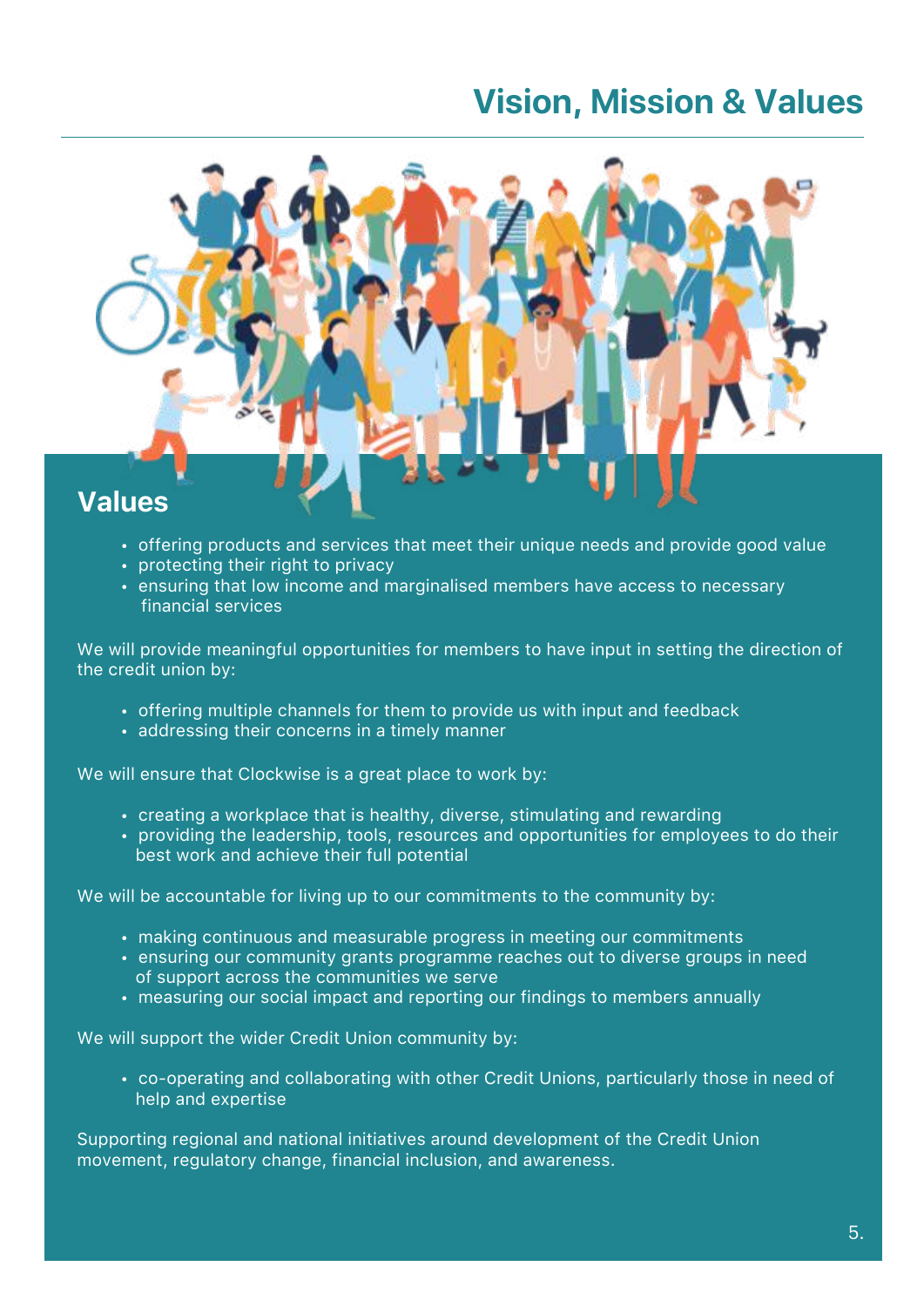### **Vision, Mission & Values**



- offering products and services that meet their unique needs and provide good value
- protecting their right to privacy
- ensuring that low income and marginalised members have access to necessary financial services

We will provide meaningful opportunities for members to have input in setting the direction of the credit union by:

- offering multiple channels for them to provide us with input and feedback
- addressing their concerns in a timely manner

We will ensure that Clockwise is a great place to work by:

- creating a workplace that is healthy, diverse, stimulating and rewarding
- providing the leadership, tools, resources and opportunities for employees to do their best work and achieve their full potential

We will be accountable for living up to our commitments to the community by:

- making continuous and measurable progress in meeting our commitments
- ensuring our community grants programme reaches out to diverse groups in need of support across the communities we serve
- measuring our social impact and reporting our findings to members annually

We will support the wider Credit Union community by:

• co-operating and collaborating with other Credit Unions, particularly those in need of help and expertise

Supporting regional and national initiatives around development of the Credit Union movement, regulatory change, financial inclusion, and awareness.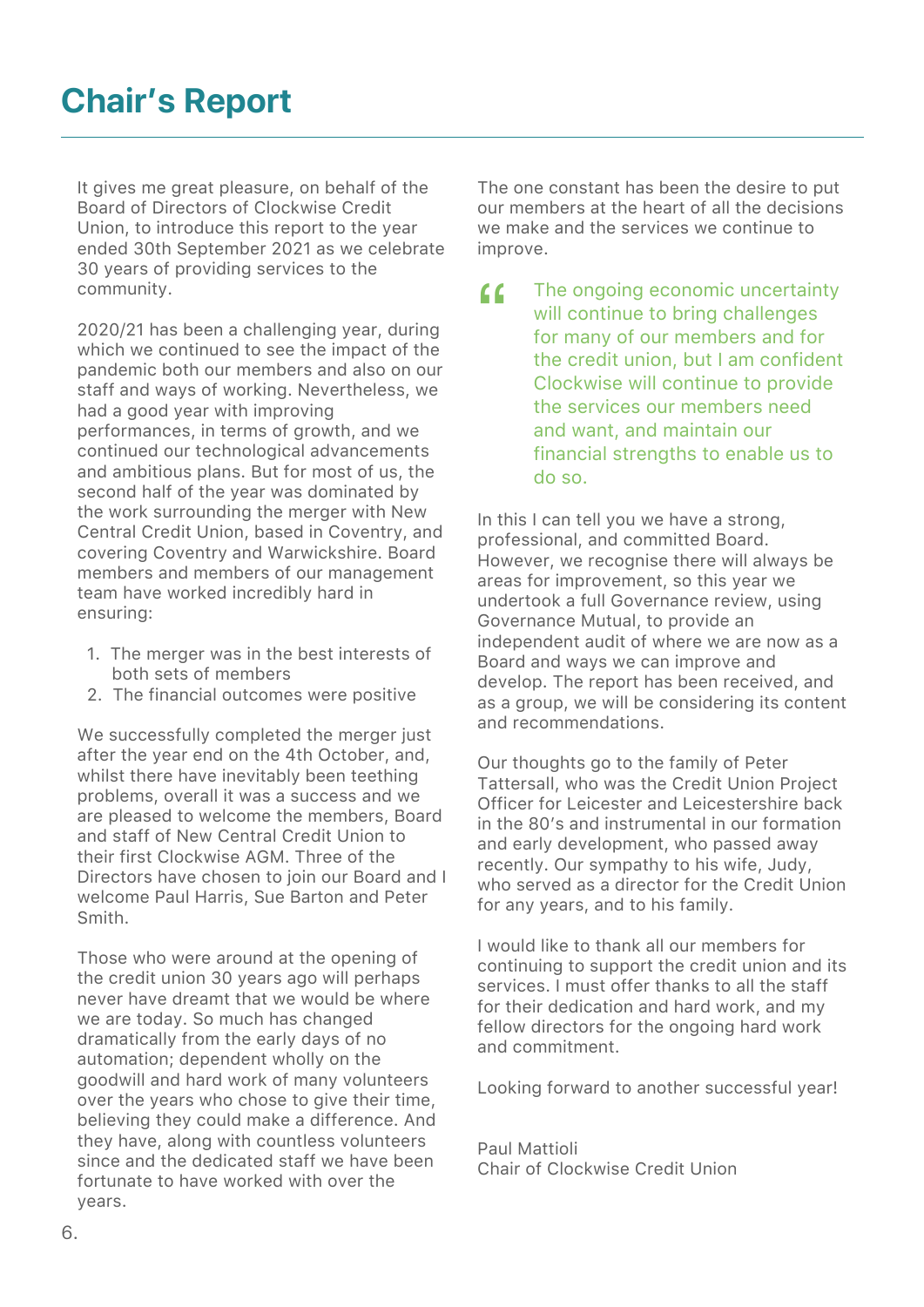It gives me great pleasure, on behalf of the Board of Directors of Clockwise Credit Union, to introduce this report to the year ended 30th September 2021 as we celebrate 30 years of providing services to the community.

2020/21 has been a challenging year, during which we continued to see the impact of the pandemic both our members and also on our staff and ways of working. Nevertheless, we had a good year with improving performances, in terms of growth, and we continued our technological advancements and ambitious plans. But for most of us, the second half of the year was dominated by the work surrounding the merger with New Central Credit Union, based in Coventry, and covering Coventry and Warwickshire. Board members and members of our management team have worked incredibly hard in ensuring:

- 1. The merger was in the best interests of both sets of members
- 2. The financial outcomes were positive

We successfully completed the merger just after the year end on the 4th October, and, whilst there have inevitably been teething problems, overall it was a success and we are pleased to welcome the members, Board and staff of New Central Credit Union to their first Clockwise AGM. Three of the Directors have chosen to join our Board and I welcome Paul Harris, Sue Barton and Peter Smith.

Those who were around at the opening of the credit union 30 years ago will perhaps never have dreamt that we would be where we are today. So much has changed dramatically from the early days of no automation; dependent wholly on the goodwill and hard work of many volunteers over the years who chose to give their time, believing they could make a difference. And they have, along with countless volunteers since and the dedicated staff we have been fortunate to have worked with over the years.

The one constant has been the desire to put our members at the heart of all the decisions we make and the services we continue to improve.

 The ongoing economic uncertainty will continue to bring challenges for many of our members and for the credit union, but I am confident Clockwise will continue to provide the services our members need and want, and maintain our financial strengths to enable us to do so.  $\epsilon$ 

In this I can tell you we have a strong, professional, and committed Board. However, we recognise there will always be areas for improvement, so this year we undertook a full Governance review, using Governance Mutual, to provide an independent audit of where we are now as a Board and ways we can improve and develop. The report has been received, and as a group, we will be considering its content and recommendations.

Our thoughts go to the family of Peter Tattersall, who was the Credit Union Project Officer for Leicester and Leicestershire back in the 80's and instrumental in our formation and early development, who passed away recently. Our sympathy to his wife, Judy, who served as a director for the Credit Union for any years, and to his family.

I would like to thank all our members for continuing to support the credit union and its services. I must offer thanks to all the staff for their dedication and hard work, and my fellow directors for the ongoing hard work and commitment.

Looking forward to another successful year!

Paul Mattioli Chair of Clockwise Credit Union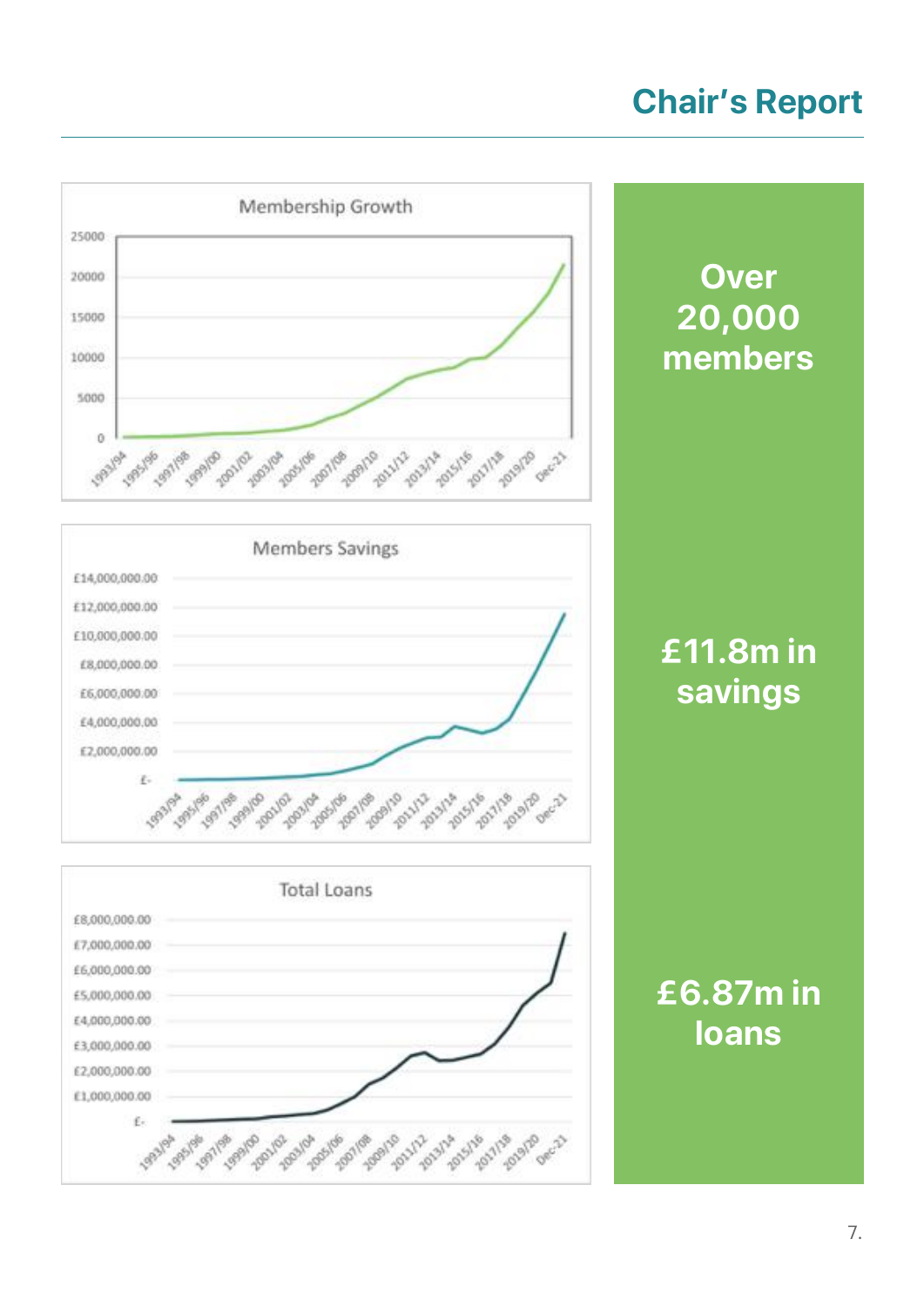# **Chair's Report**

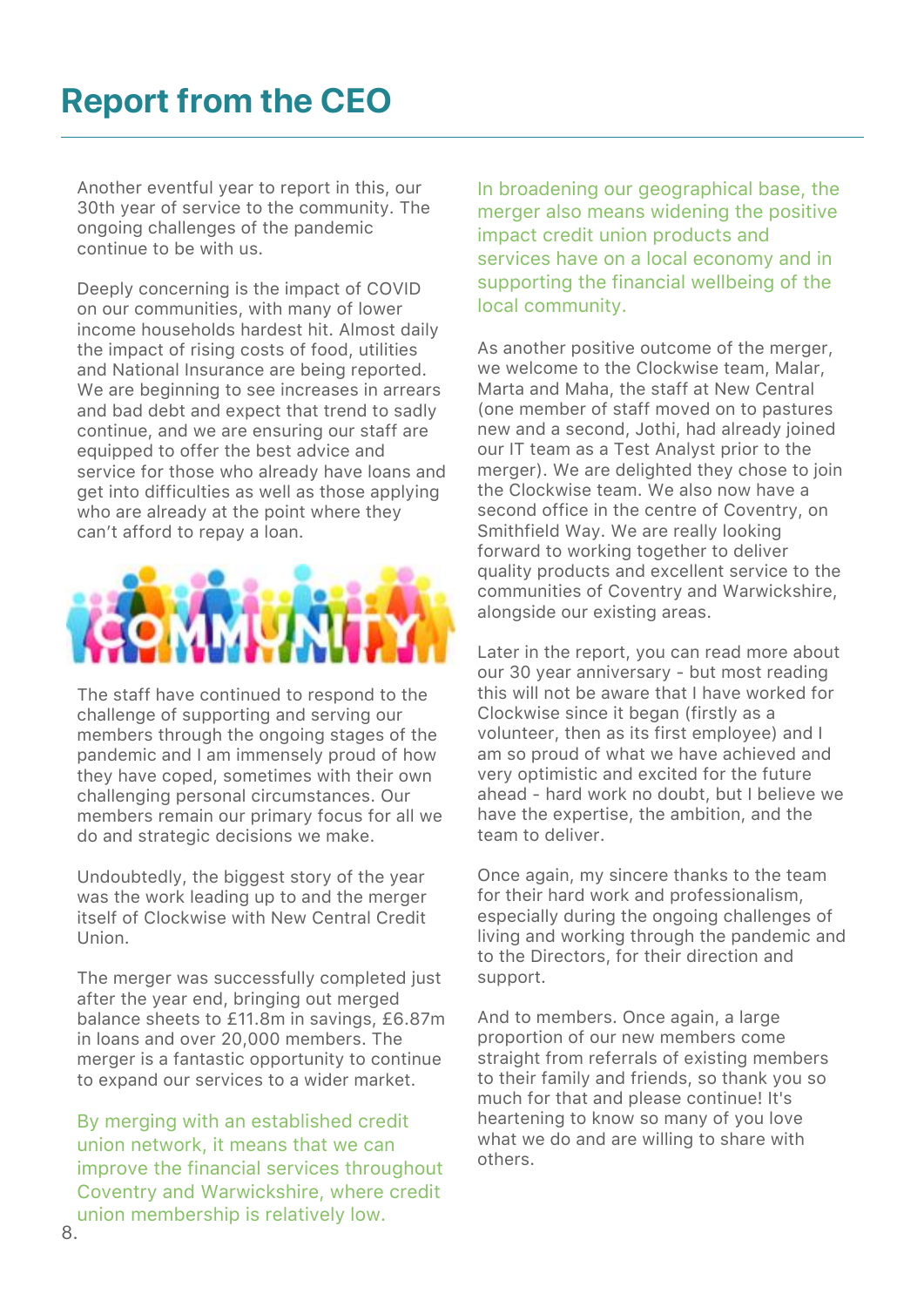Another eventful year to report in this, our 30th year of service to the community. The ongoing challenges of the pandemic continue to be with us.

Deeply concerning is the impact of COVID on our communities, with many of lower income households hardest hit. Almost daily the impact of rising costs of food, utilities and National Insurance are being reported. We are beginning to see increases in arrears and bad debt and expect that trend to sadly continue, and we are ensuring our staff are equipped to offer the best advice and service for those who already have loans and get into difficulties as well as those applying who are already at the point where they can't afford to repay a loan.



The staff have continued to respond to the challenge of supporting and serving our members through the ongoing stages of the pandemic and I am immensely proud of how they have coped, sometimes with their own challenging personal circumstances. Our members remain our primary focus for all we do and strategic decisions we make.

Undoubtedly, the biggest story of the year was the work leading up to and the merger itself of Clockwise with New Central Credit Union.

The merger was successfully completed just after the year end, bringing out merged balance sheets to £11.8m in savings, £6.87m in loans and over 20,000 members. The merger is a fantastic opportunity to continue to expand our services to a wider market.

By merging with an established credit union network, it means that we can improve the financial services throughout Coventry and Warwickshire, where credit union membership is relatively low.

In broadening our geographical base, the merger also means widening the positive impact credit union products and services have on a local economy and in supporting the financial wellbeing of the local community.

As another positive outcome of the merger, we welcome to the Clockwise team, Malar, Marta and Maha, the staff at New Central (one member of staff moved on to pastures new and a second, Jothi, had already joined our IT team as a Test Analyst prior to the merger). We are delighted they chose to join the Clockwise team. We also now have a second office in the centre of Coventry, on Smithfield Way. We are really looking forward to working together to deliver quality products and excellent service to the communities of Coventry and Warwickshire, alongside our existing areas.

Later in the report, you can read more about our 30 year anniversary - but most reading this will not be aware that I have worked for Clockwise since it began (firstly as a volunteer, then as its first employee) and I am so proud of what we have achieved and very optimistic and excited for the future ahead - hard work no doubt, but I believe we have the expertise, the ambition, and the team to deliver.

Once again, my sincere thanks to the team for their hard work and professionalism, especially during the ongoing challenges of living and working through the pandemic and to the Directors, for their direction and support.

And to members. Once again, a large proportion of our new members come straight from referrals of existing members to their family and friends, so thank you so much for that and please continue! It's heartening to know so many of you love what we do and are willing to share with others.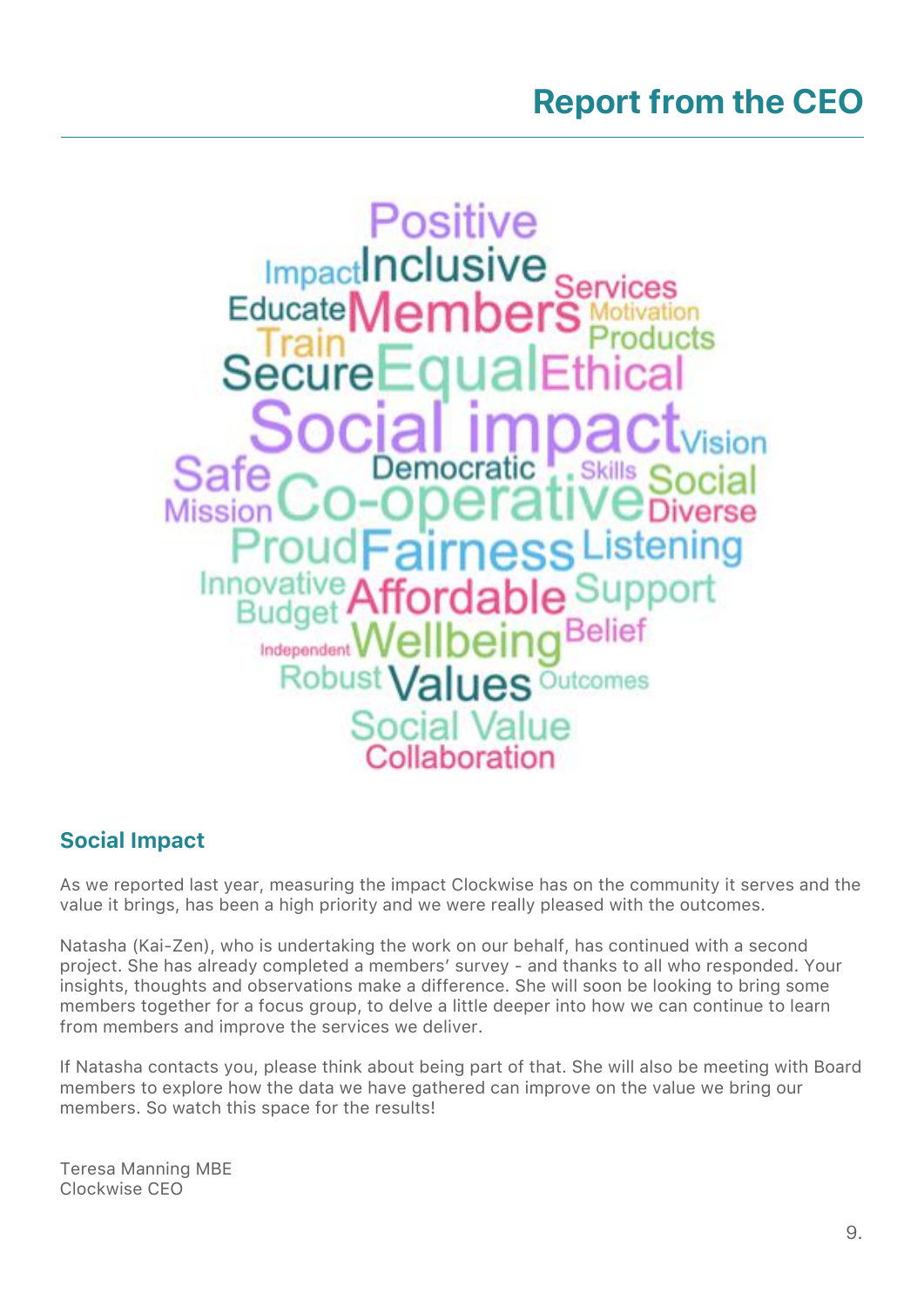

### Social Impact

As we reported last year, measuring the impact Clockwise has on the community it serves and the value it brings, has been a high priority and we were really pleased with the outcomes.

Natasha (Kai-Zen), who is undertaking the work on our behalf, has continued with a second project. She has already completed a members' survey - and thanks to all who responded. Your insights, thoughts and observations make a difference. She will soon be looking to bring some members together for a focus group, to delve a little deeper into how we can continue to learn from members and improve the services we deliver.

If Natasha contacts you, please think about being part of that. She will also be meeting with Board members to explore how the data we have gathered can improve on the value we bring our members. So watch this space for the results!

Teresa Manning MBE Clockwise CEO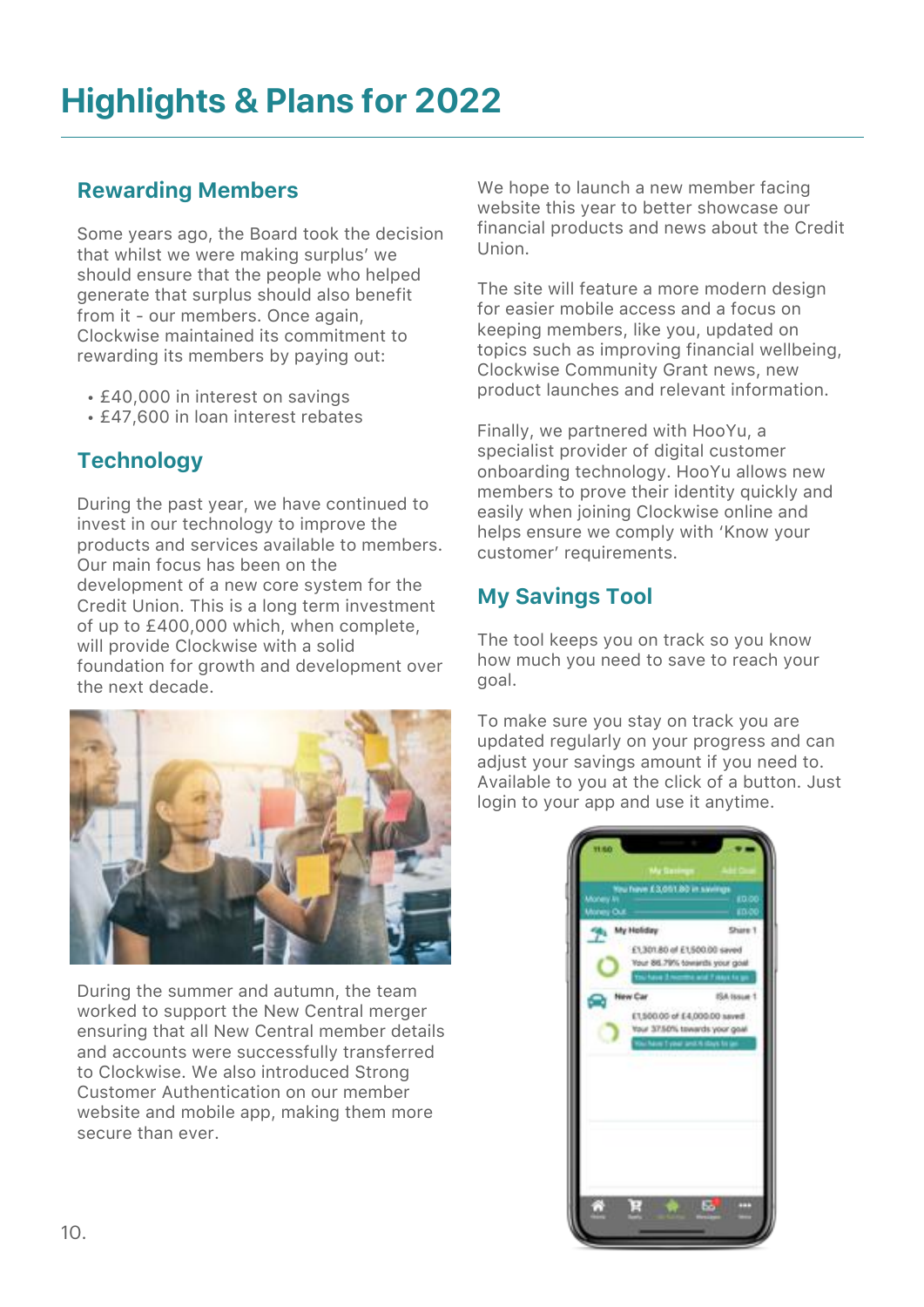### Rewarding Members

Some years ago, the Board took the decision that whilst we were making surplus' we should ensure that the people who helped generate that surplus should also benefit from it - our members. Once again, Clockwise maintained its commitment to rewarding its members by paying out:

- £40,000 in interest on savings
- £47,600 in loan interest rebates

### **Technology**

During the past year, we have continued to invest in our technology to improve the products and services available to members. Our main focus has been on the development of a new core system for the Credit Union. This is a long term investment of up to £400,000 which, when complete, will provide Clockwise with a solid foundation for growth and development over the next decade.



During the summer and autumn, the team worked to support the New Central merger ensuring that all New Central member details and accounts were successfully transferred to Clockwise. We also introduced Strong Customer Authentication on our member website and mobile app, making them more secure than ever.

We hope to launch a new member facing website this year to better showcase our financial products and news about the Credit Union.

The site will feature a more modern design for easier mobile access and a focus on keeping members, like you, updated on topics such as improving financial wellbeing, Clockwise Community Grant news, new product launches and relevant information.

Finally, we partnered with HooYu, a specialist provider of digital customer onboarding technology. HooYu allows new members to prove their identity quickly and easily when joining Clockwise online and helps ensure we comply with 'Know your customer' requirements.

### My Savings Tool

The tool keeps you on track so you know how much you need to save to reach your goal.

To make sure you stay on track you are updated regularly on your progress and can adjust your savings amount if you need to. Available to you at the click of a button. Just login to your app and use it anytime.

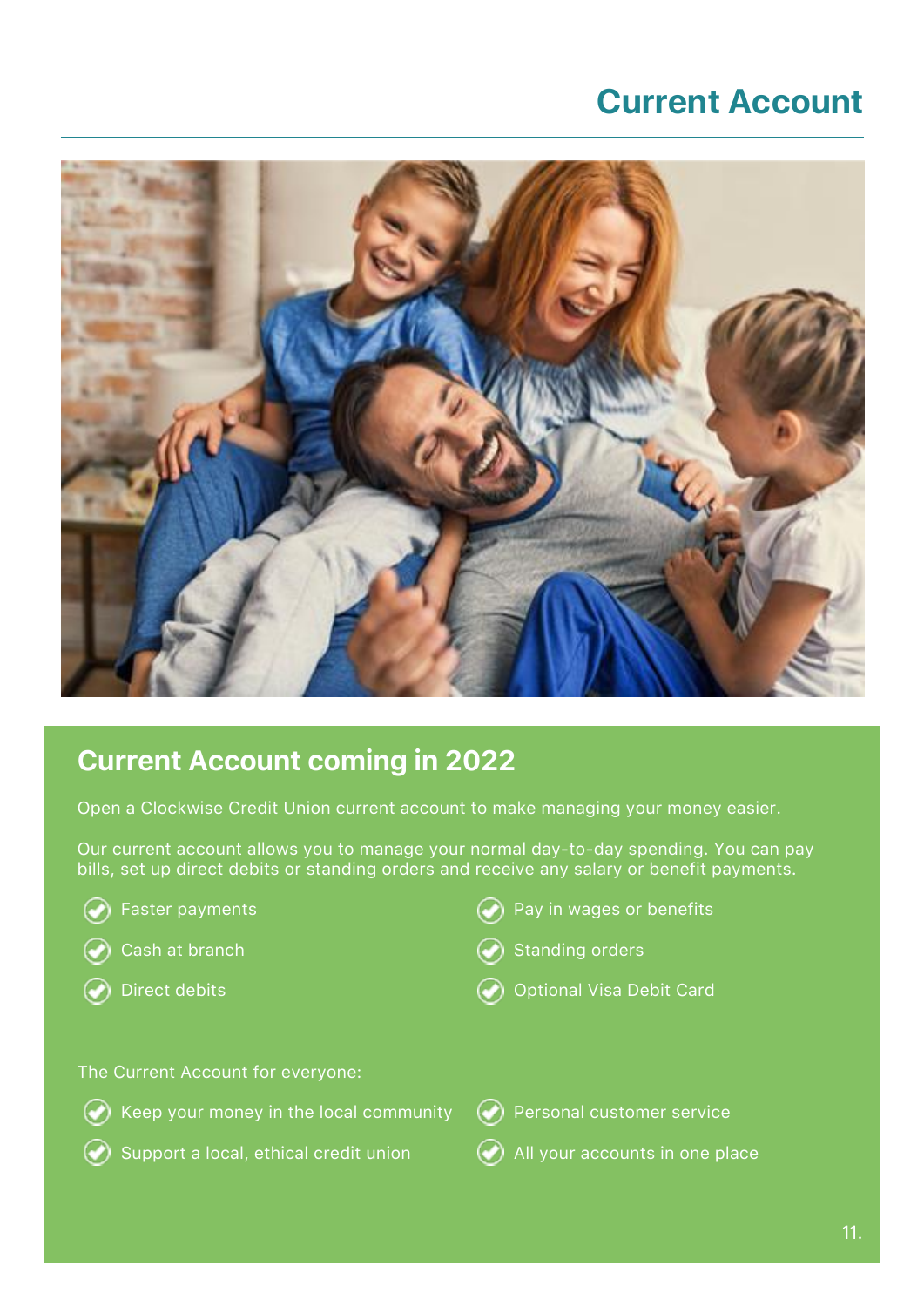### **Current Account**



### Current Account coming in 2022

Open a Clockwise Credit Union current account to make managing your money easier.

Our current account allows you to manage your normal day-to-day spending. You can pay bills, set up direct debits or standing orders and receive any salary or benefit payments.

| $\blacktriangleright$ Faster payments |
|---------------------------------------|
| $\bullet$ Cash at branch              |
| $\blacktriangleright$ Direct debits   |

- Pay in wages or benefits
- **Standing orders**
- **Optional Visa Debit Card**

The Current Account for everyone:



- 
- Support a local, ethical credit union  $\bullet$  All your accounts in one place
-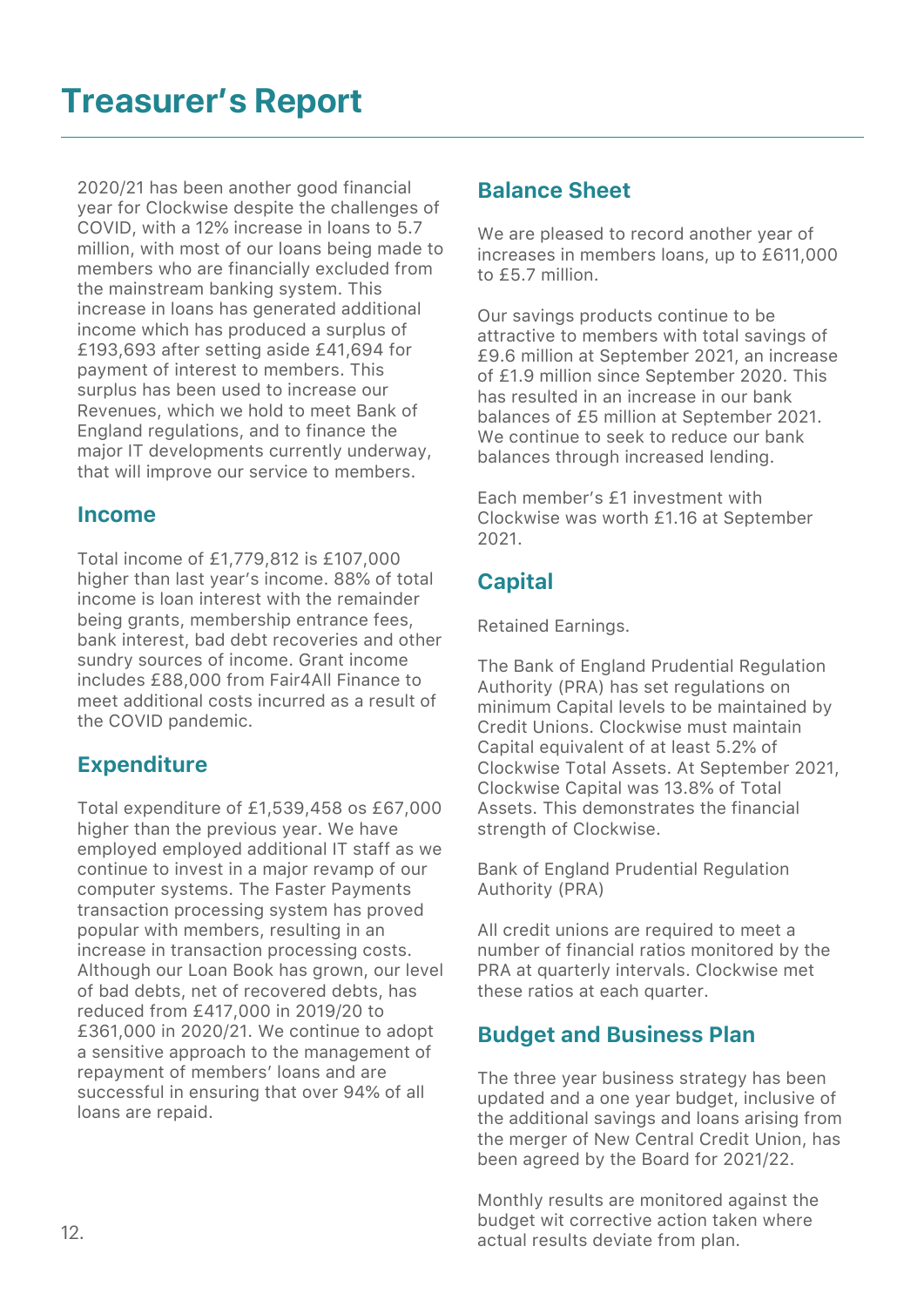2020/21 has been another good financial year for Clockwise despite the challenges of COVID, with a 12% increase in loans to 5.7 million, with most of our loans being made to members who are financially excluded from the mainstream banking system. This increase in loans has generated additional income which has produced a surplus of £193,693 after setting aside £41,694 for payment of interest to members. This surplus has been used to increase our Revenues, which we hold to meet Bank of England regulations, and to finance the major IT developments currently underway, that will improve our service to members.

#### Income

Total income of £1,779,812 is £107,000 higher than last year's income. 88% of total income is loan interest with the remainder being grants, membership entrance fees, bank interest, bad debt recoveries and other sundry sources of income. Grant income includes £88,000 from Fair4All Finance to meet additional costs incurred as a result of the COVID pandemic.

### **Expenditure**

Total expenditure of £1,539,458 os £67,000 higher than the previous year. We have employed employed additional IT staff as we continue to invest in a major revamp of our computer systems. The Faster Payments transaction processing system has proved popular with members, resulting in an increase in transaction processing costs. Although our Loan Book has grown, our level of bad debts, net of recovered debts, has reduced from £417,000 in 2019/20 to £361,000 in 2020/21. We continue to adopt a sensitive approach to the management of repayment of members' loans and are successful in ensuring that over 94% of all loans are repaid.

### Balance Sheet

We are pleased to record another year of increases in members loans, up to £611,000 to £5.7 million.

Our savings products continue to be attractive to members with total savings of £9.6 million at September 2021, an increase of £1.9 million since September 2020. This has resulted in an increase in our bank balances of £5 million at September 2021. We continue to seek to reduce our bank balances through increased lending.

Each member's £1 investment with Clockwise was worth £1.16 at September 2021.

### **Capital**

Retained Earnings.

The Bank of England Prudential Regulation Authority (PRA) has set regulations on minimum Capital levels to be maintained by Credit Unions. Clockwise must maintain Capital equivalent of at least 5.2% of Clockwise Total Assets. At September 2021, Clockwise Capital was 13.8% of Total Assets. This demonstrates the financial strength of Clockwise.

Bank of England Prudential Regulation Authority (PRA)

All credit unions are required to meet a number of financial ratios monitored by the PRA at quarterly intervals. Clockwise met these ratios at each quarter.

### Budget and Business Plan

The three year business strategy has been updated and a one year budget, inclusive of the additional savings and loans arising from the merger of New Central Credit Union, has been agreed by the Board for 2021/22.

Monthly results are monitored against the budget wit corrective action taken where actual results deviate from plan.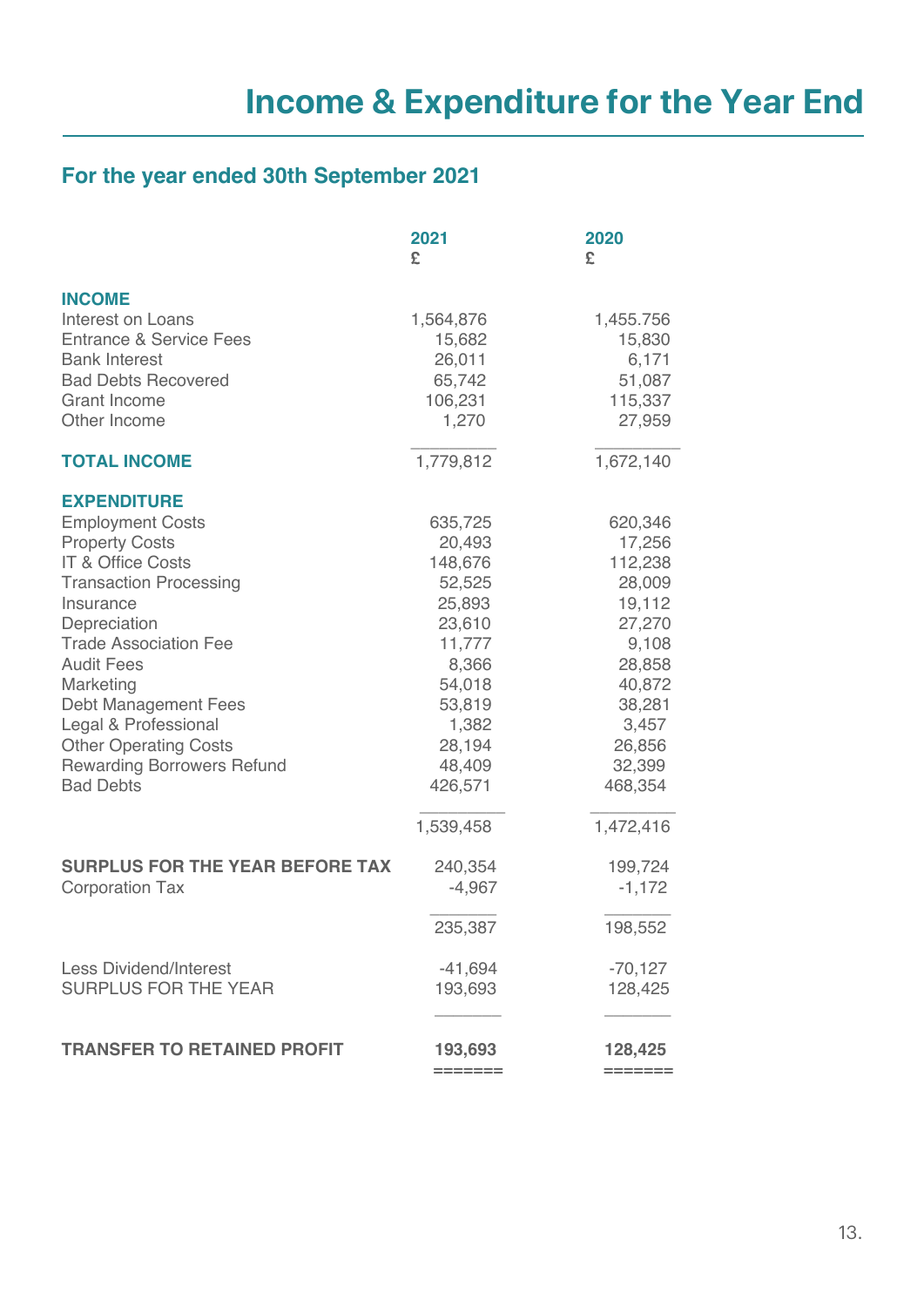### **For the year ended 30th September 2021**

|                                        | 2021<br>£ | 2020<br>£ |
|----------------------------------------|-----------|-----------|
| <b>INCOME</b>                          |           |           |
| <b>Interest on Loans</b>               | 1,564,876 | 1,455.756 |
| <b>Entrance &amp; Service Fees</b>     | 15,682    | 15,830    |
| <b>Bank Interest</b>                   | 26,011    | 6,171     |
| <b>Bad Debts Recovered</b>             | 65,742    | 51,087    |
| <b>Grant Income</b>                    | 106,231   | 115,337   |
| Other Income                           | 1,270     | 27,959    |
| <b>TOTAL INCOME</b>                    | 1,779,812 | 1,672,140 |
| <b>EXPENDITURE</b>                     |           |           |
| <b>Employment Costs</b>                | 635,725   | 620,346   |
| <b>Property Costs</b>                  | 20,493    | 17,256    |
| <b>IT &amp; Office Costs</b>           | 148,676   | 112,238   |
| <b>Transaction Processing</b>          | 52,525    | 28,009    |
| Insurance                              | 25,893    | 19,112    |
| Depreciation                           | 23,610    | 27,270    |
| <b>Trade Association Fee</b>           | 11,777    | 9,108     |
| <b>Audit Fees</b>                      | 8,366     | 28,858    |
| Marketing                              | 54,018    | 40,872    |
| <b>Debt Management Fees</b>            | 53,819    | 38,281    |
| Legal & Professional                   | 1,382     | 3,457     |
| <b>Other Operating Costs</b>           | 28,194    | 26,856    |
| <b>Rewarding Borrowers Refund</b>      | 48,409    | 32,399    |
| <b>Bad Debts</b>                       | 426,571   | 468,354   |
|                                        | 1,539,458 | 1,472,416 |
| <b>SURPLUS FOR THE YEAR BEFORE TAX</b> | 240,354   | 199,724   |
| <b>Corporation Tax</b>                 | $-4,967$  | $-1,172$  |
|                                        | 235,387   | 198,552   |
| <b>Less Dividend/Interest</b>          | $-41,694$ | $-70,127$ |
| <b>SURPLUS FOR THE YEAR</b>            | 193,693   | 128,425   |
|                                        |           |           |
| <b>TRANSFER TO RETAINED PROFIT</b>     | 193,693   | 128,425   |
|                                        |           |           |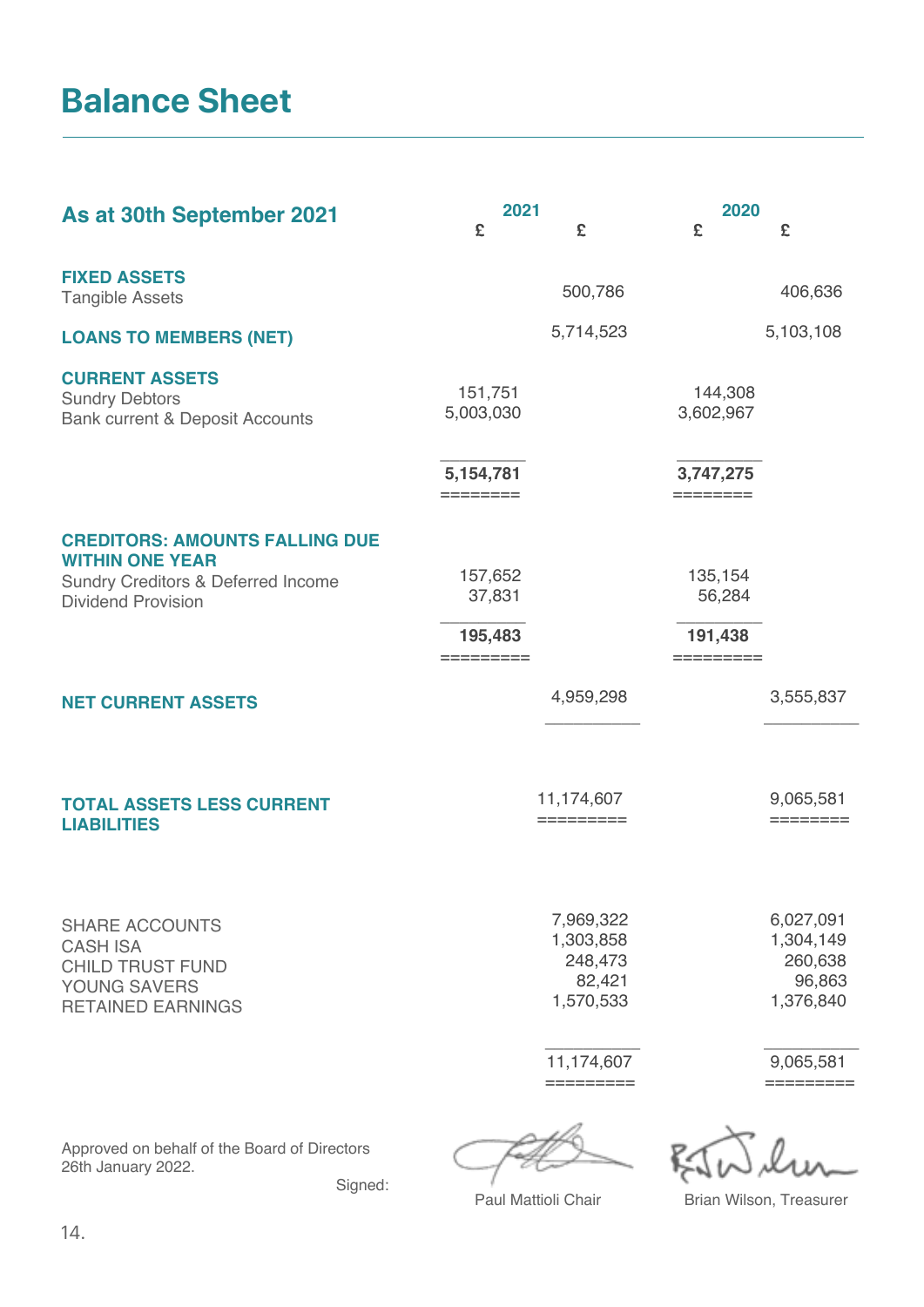### **Balance Sheet**

| As at 30th September 2021                                                                                                          | 2021                                                     | 2020                                                     |
|------------------------------------------------------------------------------------------------------------------------------------|----------------------------------------------------------|----------------------------------------------------------|
|                                                                                                                                    | £<br>£                                                   | £<br>£                                                   |
| <b>FIXED ASSETS</b><br><b>Tangible Assets</b>                                                                                      | 500,786                                                  | 406,636                                                  |
| <b>LOANS TO MEMBERS (NET)</b>                                                                                                      | 5,714,523                                                | 5,103,108                                                |
| <b>CURRENT ASSETS</b><br><b>Sundry Debtors</b><br><b>Bank current &amp; Deposit Accounts</b>                                       | 151,751<br>5,003,030                                     | 144,308<br>3,602,967                                     |
|                                                                                                                                    | 5,154,781<br>========                                    | 3,747,275<br>========                                    |
| <b>CREDITORS: AMOUNTS FALLING DUE</b><br><b>WITHIN ONE YEAR</b><br>Sundry Creditors & Deferred Income<br><b>Dividend Provision</b> | 157,652<br>37,831<br>195,483                             | 135,154<br>56,284<br>191,438<br>=========                |
| <b>NET CURRENT ASSETS</b>                                                                                                          | 4,959,298                                                | 3,555,837                                                |
| <b>TOTAL ASSETS LESS CURRENT</b><br><b>LIABILITIES</b>                                                                             | 11,174,607<br>$=$ = = = = = = = = =                      | 9,065,581<br>========                                    |
| <b>SHARE ACCOUNTS</b><br><b>CASH ISA</b><br><b>CHILD TRUST FUND</b><br>YOUNG SAVERS<br><b>RETAINED EARNINGS</b>                    | 7,969,322<br>1,303,858<br>248,473<br>82,421<br>1,570,533 | 6,027,091<br>1,304,149<br>260,638<br>96,863<br>1,376,840 |
|                                                                                                                                    | 11,174,607<br>=========                                  | 9,065,581<br>---------                                   |
|                                                                                                                                    |                                                          |                                                          |

Approved on behalf of the Board of Directors 26th January 2022.

Signed:

FRE BOWLIN

Paul Mattioli Chair **Brian Wilson, Treasurer**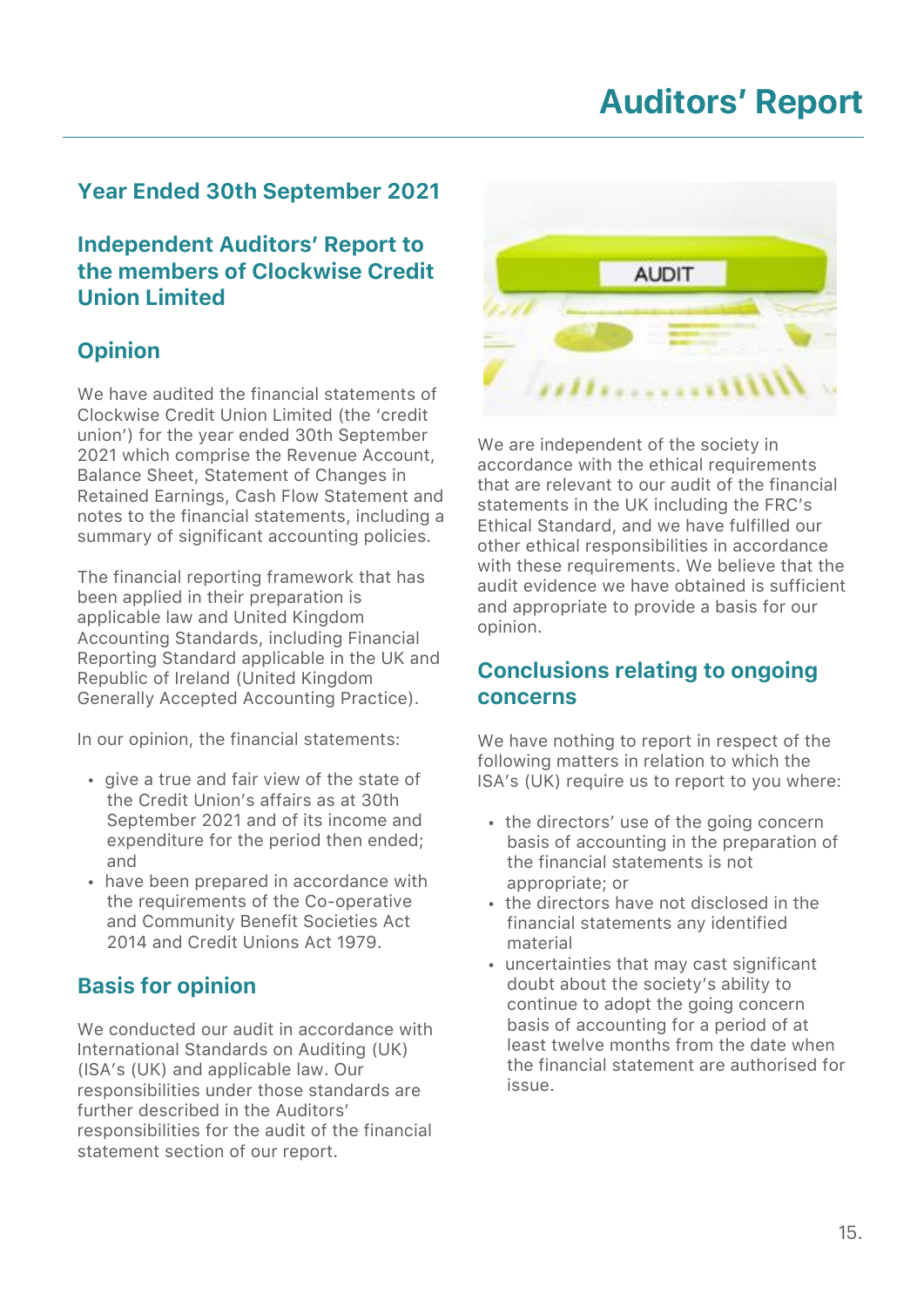# **Auditors' Report**

### Year Ended 30th September 2021

Independent Auditors' Report to the members of Clockwise Credit Union Limited

### **Opinion**

We have audited the financial statements of Clockwise Credit Union Limited (the 'credit union') for the year ended 30th September 2021 which comprise the Revenue Account, Balance Sheet, Statement of Changes in Retained Earnings, Cash Flow Statement and notes to the financial statements, including a summary of significant accounting policies.

The financial reporting framework that has been applied in their preparation is applicable law and United Kingdom Accounting Standards, including Financial Reporting Standard applicable in the UK and Republic of Ireland (United Kingdom Generally Accepted Accounting Practice).

In our opinion, the financial statements:

- give a true and fair view of the state of the Credit Union's affairs as at 30th September 2021 and of its income and expenditure for the period then ended; and
- have been prepared in accordance with the requirements of the Co-operative and Community Benefit Societies Act 2014 and Credit Unions Act 1979.

### Basis for opinion

We conducted our audit in accordance with International Standards on Auditing (UK) (ISA's (UK) and applicable law. Our responsibilities under those standards are further described in the Auditors' responsibilities for the audit of the financial statement section of our report.



We are independent of the society in accordance with the ethical requirements that are relevant to our audit of the financial statements in the UK including the FRC's Ethical Standard, and we have fulfilled our other ethical responsibilities in accordance with these requirements. We believe that the audit evidence we have obtained is sufficient and appropriate to provide a basis for our opinion.

#### Conclusions relating to ongoing concerns

We have nothing to report in respect of the following matters in relation to which the ISA's (UK) require us to report to you where:

- the directors' use of the going concern basis of accounting in the preparation of the financial statements is not appropriate; or
- the directors have not disclosed in the financial statements any identified material
- uncertainties that may cast significant doubt about the society's ability to continue to adopt the going concern basis of accounting for a period of at least twelve months from the date when the financial statement are authorised for issue.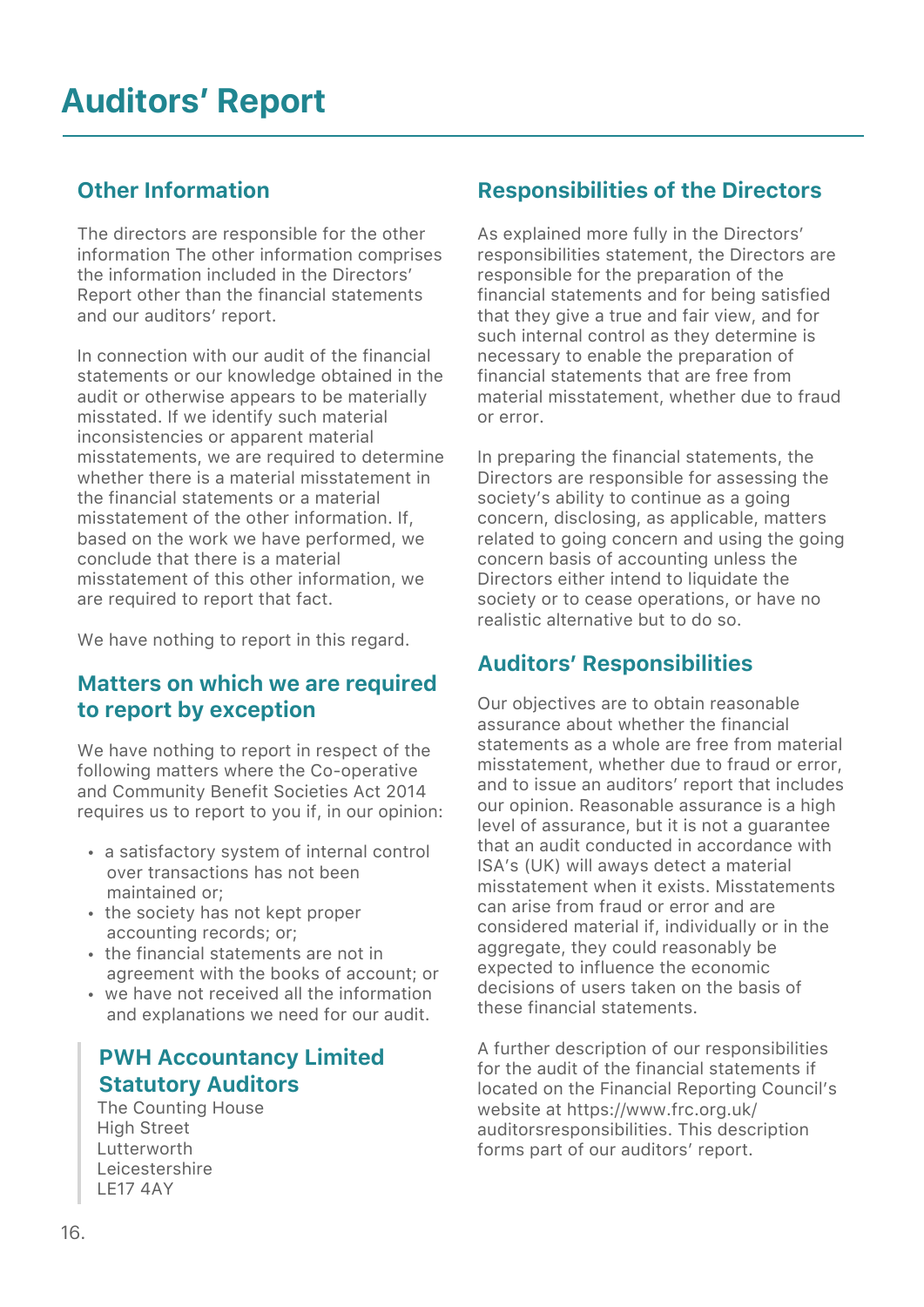### Other Information

The directors are responsible for the other information The other information comprises the information included in the Directors' Report other than the financial statements and our auditors' report.

In connection with our audit of the financial statements or our knowledge obtained in the audit or otherwise appears to be materially misstated. If we identify such material inconsistencies or apparent material misstatements, we are required to determine whether there is a material misstatement in the financial statements or a material misstatement of the other information. If, based on the work we have performed, we conclude that there is a material misstatement of this other information, we are required to report that fact.

We have nothing to report in this regard.

#### Matters on which we are required to report by exception

We have nothing to report in respect of the following matters where the Co-operative and Community Benefit Societies Act 2014 requires us to report to you if, in our opinion:

- a satisfactory system of internal control over transactions has not been maintained or;
- the society has not kept proper accounting records; or;
- the financial statements are not in agreement with the books of account; or
- we have not received all the information and explanations we need for our audit.

### PWH Accountancy Limited Statutory Auditors

 The Counting House High Street Lutterworth Leicestershire LE17 4AY

### Responsibilities of the Directors

As explained more fully in the Directors' responsibilities statement, the Directors are responsible for the preparation of the financial statements and for being satisfied that they give a true and fair view, and for such internal control as they determine is necessary to enable the preparation of financial statements that are free from material misstatement, whether due to fraud or error.

In preparing the financial statements, the Directors are responsible for assessing the society's ability to continue as a going concern, disclosing, as applicable, matters related to going concern and using the going concern basis of accounting unless the Directors either intend to liquidate the society or to cease operations, or have no realistic alternative but to do so.

### Auditors' Responsibilities

Our objectives are to obtain reasonable assurance about whether the financial statements as a whole are free from material misstatement, whether due to fraud or error, and to issue an auditors' report that includes our opinion. Reasonable assurance is a high level of assurance, but it is not a guarantee that an audit conducted in accordance with ISA's (UK) will aways detect a material misstatement when it exists. Misstatements can arise from fraud or error and are considered material if, individually or in the aggregate, they could reasonably be expected to influence the economic decisions of users taken on the basis of these financial statements.

A further description of our responsibilities for the audit of the financial statements if located on the Financial Reporting Council's website at https://www.frc.org.uk/ auditorsresponsibilities. This description forms part of our auditors' report.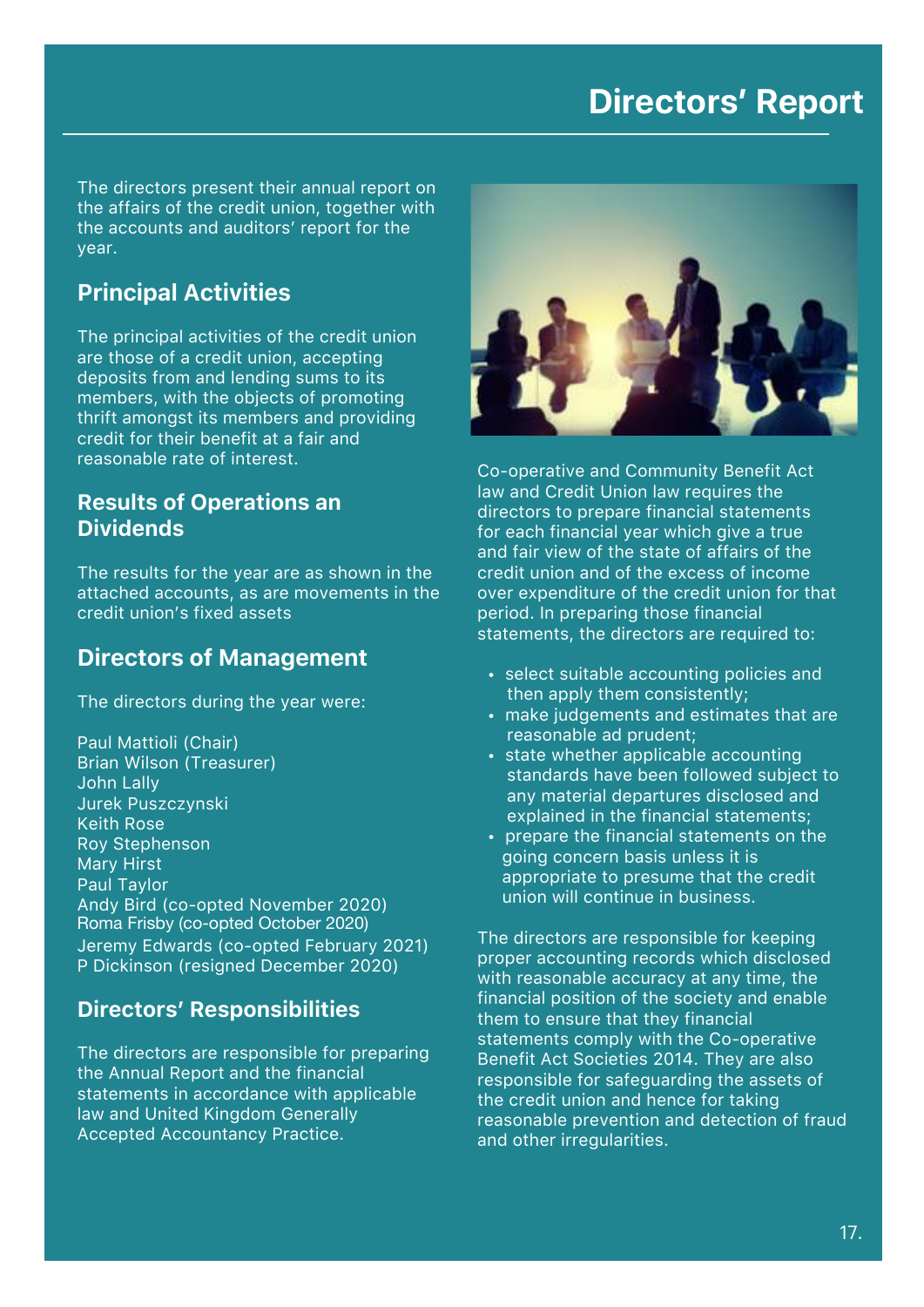### **Directors' Report**

The directors present their annual report on the affairs of the credit union, together with the accounts and auditors' report for the year.

#### Principal Activities

The principal activities of the credit union are those of a credit union, accepting deposits from and lending sums to its members, with the objects of promoting thrift amongst its members and providing credit for their benefit at a fair and reasonable rate of interest.

#### Results of Operations an Dividends

The results for the year are as shown in the attached accounts, as are movements in the credit union's fixed assets

#### Directors of Management

The directors during the year were:

Paul Mattioli (Chair) Brian Wilson (Treasurer) John Lally Jurek Puszczynski Keith Rose Roy Stephenson Mary Hirst Paul Taylor Andy Bird (co-opted November 2020) Roma Frisby (co-opted October 2020) Jeremy Edwards (co-opted February 2021) P Dickinson (resigned December 2020)

#### Directors' Responsibilities

The directors are responsible for preparing the Annual Report and the financial statements in accordance with applicable law and United Kingdom Generally Accepted Accountancy Practice.



Co-operative and Community Benefit Act law and Credit Union law requires the directors to prepare financial statements for each financial year which give a true and fair view of the state of affairs of the credit union and of the excess of income over expenditure of the credit union for that period. In preparing those financial statements, the directors are required to:

- select suitable accounting policies and then apply them consistently;
- make judgements and estimates that are reasonable ad prudent;
- state whether applicable accounting standards have been followed subject to any material departures disclosed and explained in the financial statements;
- prepare the financial statements on the going concern basis unless it is appropriate to presume that the credit union will continue in business.

The directors are responsible for keeping proper accounting records which disclosed with reasonable accuracy at any time, the financial position of the society and enable them to ensure that they financial statements comply with the Co-operative Benefit Act Societies 2014. They are also responsible for safeguarding the assets of the credit union and hence for taking reasonable prevention and detection of fraud and other irregularities.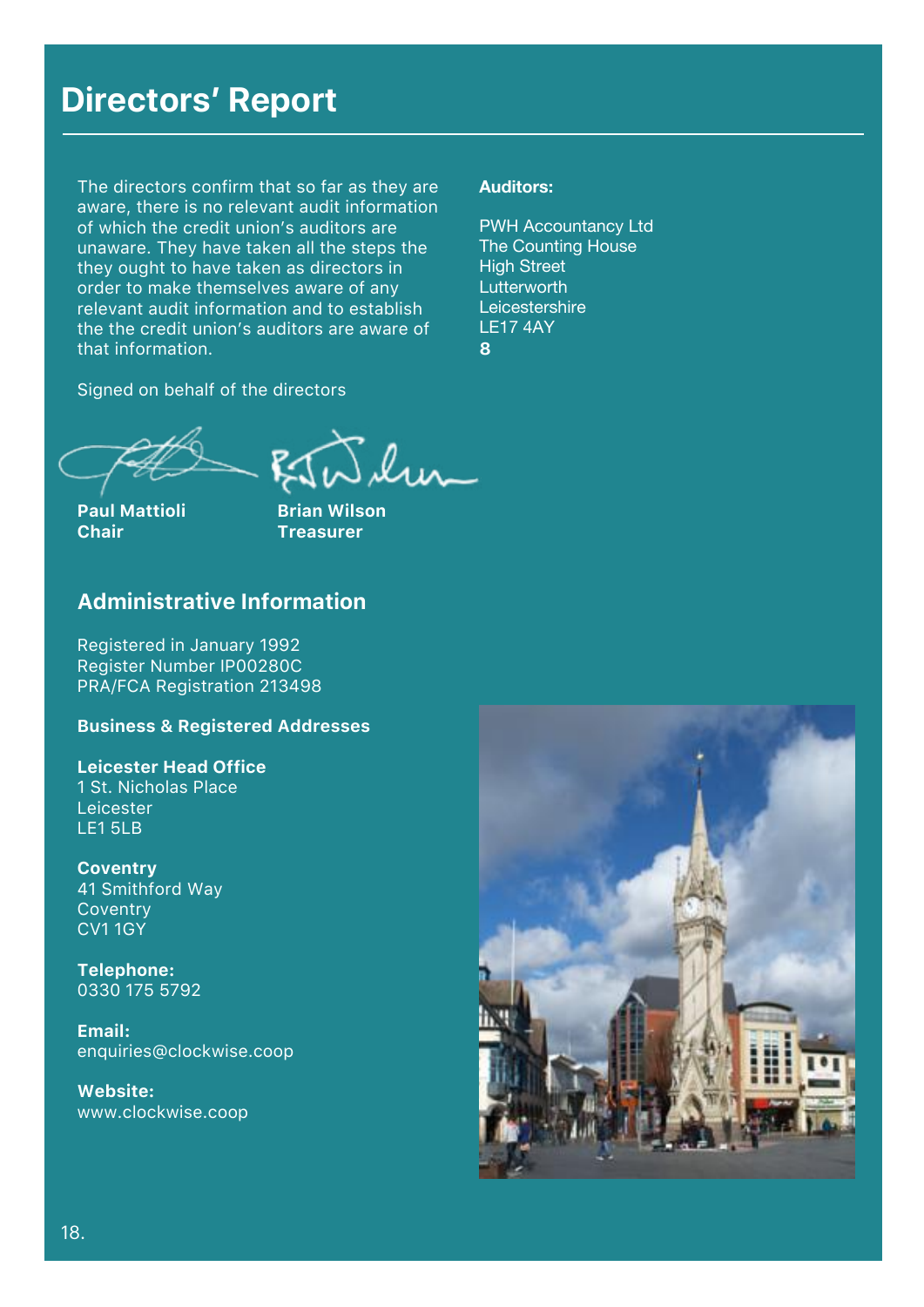### **Directors' Report**

The directors confirm that so far as they are aware, there is no relevant audit information of which the credit union's auditors are unaware. They have taken all the steps the they ought to have taken as directors in order to make themselves aware of any relevant audit information and to establish the the credit union's auditors are aware of that information.

Signed on behalf of the directors

### **Auditors:**

PWH Accountancy Ltd The Counting House **High Street Lutterworth Leicestershire** LE17 4AY 8

Paul Mattioli **Brian Wilson Chair Treasurer** 



#### Administrative Information

Registered in January 1992 Register Number IP00280C PRA/FCA Registration 213498

#### Business & Registered Addresses

Leicester Head Office 1 St. Nicholas Place Leicester LE1 5LB

**Coventry** 41 Smithford Way **Coventry** CV1 1GY

Telephone: 0330 175 5792

Email: enquiries@clockwise.coop

Website: www.clockwise.coop

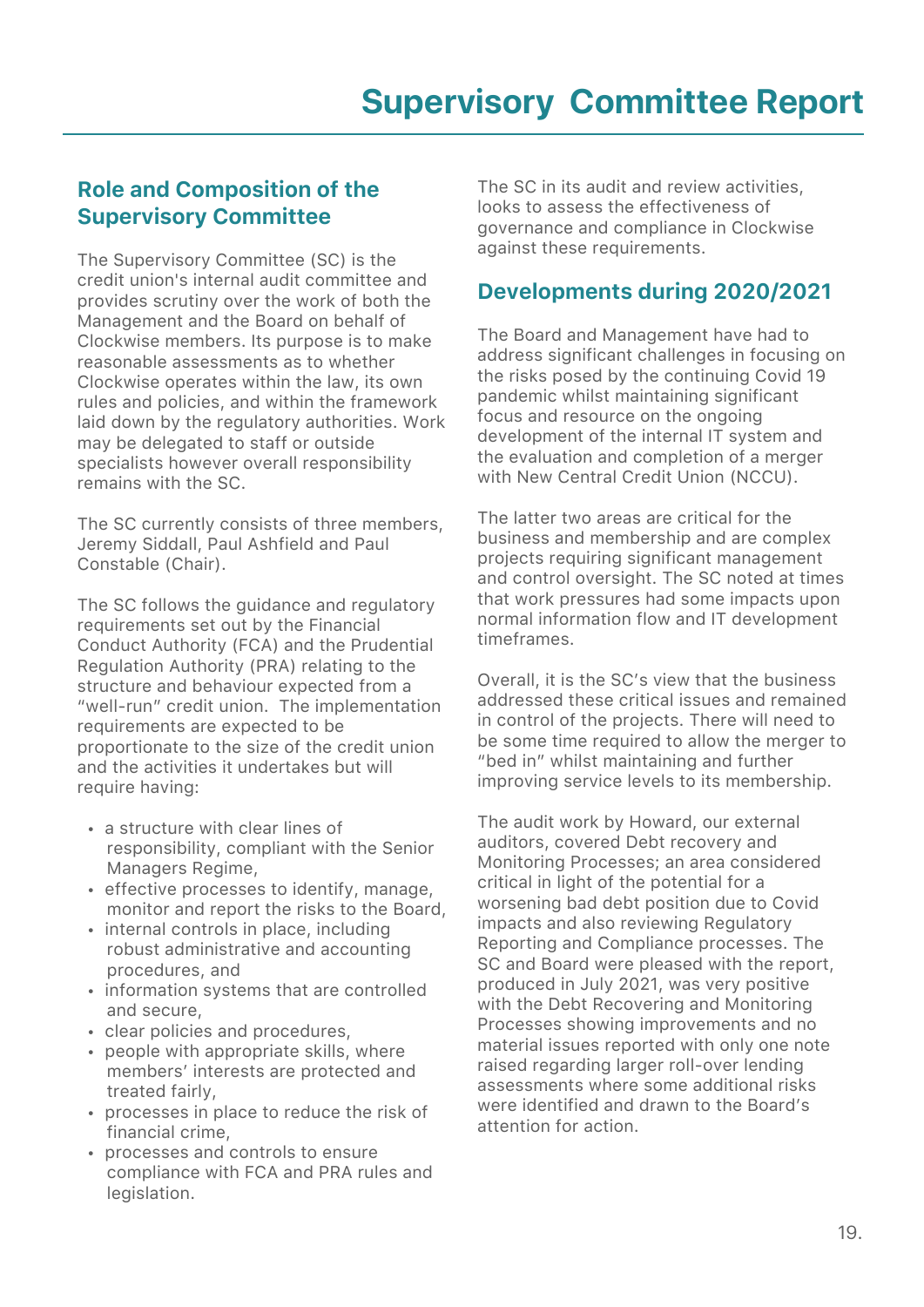#### Role and Composition of the Supervisory Committee

The Supervisory Committee (SC) is the credit union's internal audit committee and provides scrutiny over the work of both the Management and the Board on behalf of Clockwise members. Its purpose is to make reasonable assessments as to whether Clockwise operates within the law, its own rules and policies, and within the framework laid down by the regulatory authorities. Work may be delegated to staff or outside specialists however overall responsibility remains with the SC.

The SC currently consists of three members, Jeremy Siddall, Paul Ashfield and Paul Constable (Chair).

The SC follows the guidance and regulatory requirements set out by the Financial Conduct Authority (FCA) and the Prudential Regulation Authority (PRA) relating to the structure and behaviour expected from a "well-run" credit union. The implementation requirements are expected to be proportionate to the size of the credit union and the activities it undertakes but will require having:

- a structure with clear lines of responsibility, compliant with the Senior Managers Regime,
- effective processes to identify, manage, monitor and report the risks to the Board,
- internal controls in place, including robust administrative and accounting procedures, and
- information systems that are controlled and secure,
- clear policies and procedures,
- people with appropriate skills, where members' interests are protected and treated fairly,
- processes in place to reduce the risk of financial crime,
- processes and controls to ensure compliance with FCA and PRA rules and legislation.

The SC in its audit and review activities, looks to assess the effectiveness of governance and compliance in Clockwise against these requirements.

### Developments during 2020/2021

The Board and Management have had to address significant challenges in focusing on the risks posed by the continuing Covid 19 pandemic whilst maintaining significant focus and resource on the ongoing development of the internal IT system and the evaluation and completion of a merger with New Central Credit Union (NCCU).

The latter two areas are critical for the business and membership and are complex projects requiring significant management and control oversight. The SC noted at times that work pressures had some impacts upon normal information flow and IT development timeframes.

Overall, it is the SC's view that the business addressed these critical issues and remained in control of the projects. There will need to be some time required to allow the merger to "bed in" whilst maintaining and further improving service levels to its membership.

The audit work by Howard, our external auditors, covered Debt recovery and Monitoring Processes; an area considered critical in light of the potential for a worsening bad debt position due to Covid impacts and also reviewing Regulatory Reporting and Compliance processes. The SC and Board were pleased with the report, produced in July 2021, was very positive with the Debt Recovering and Monitoring Processes showing improvements and no material issues reported with only one note raised regarding larger roll-over lending assessments where some additional risks were identified and drawn to the Board's attention for action.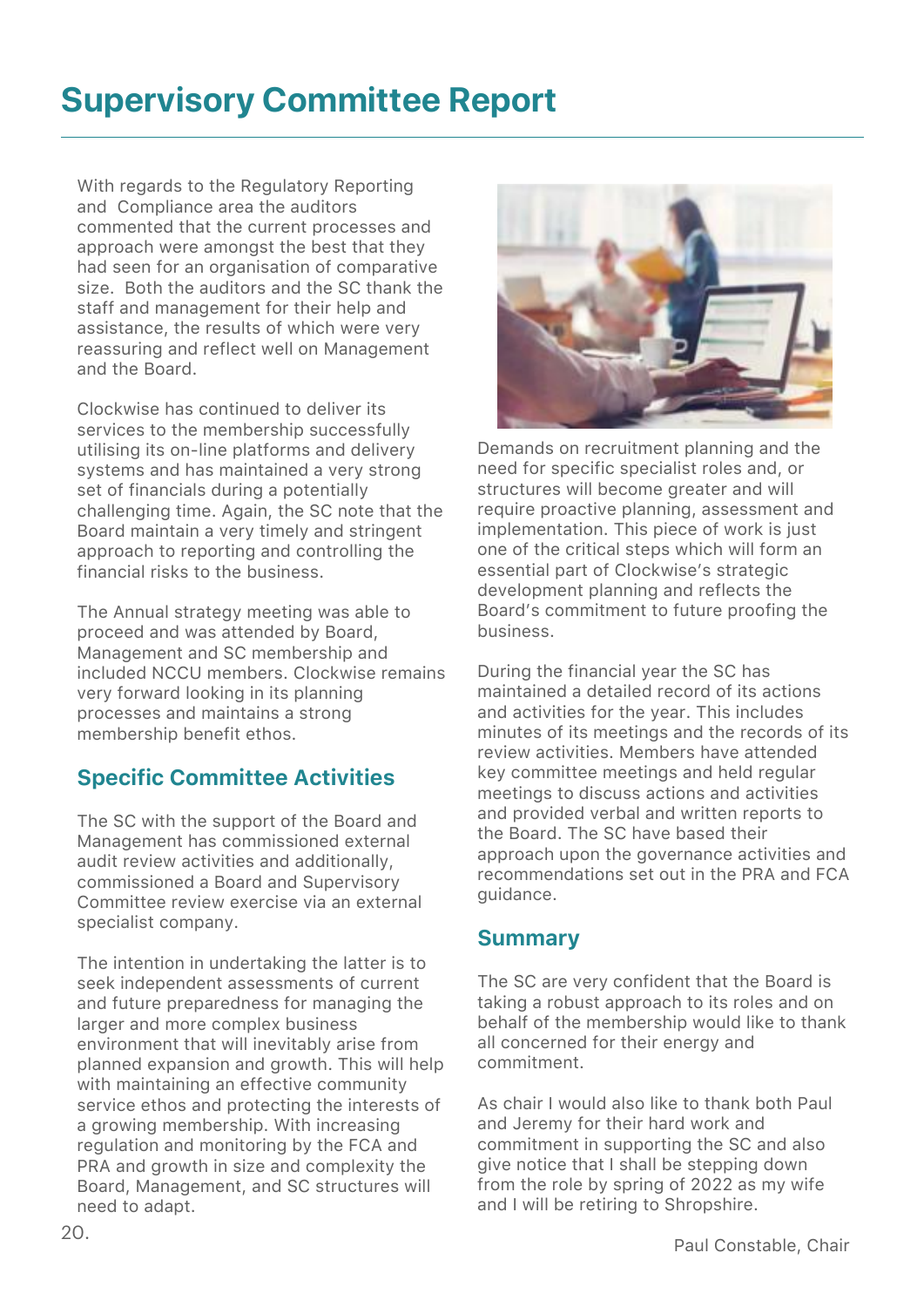# **Supervisory Committee Report**

With regards to the Regulatory Reporting and Compliance area the auditors commented that the current processes and approach were amongst the best that they had seen for an organisation of comparative size. Both the auditors and the SC thank the staff and management for their help and assistance, the results of which were very reassuring and reflect well on Management and the Board.

Clockwise has continued to deliver its services to the membership successfully utilising its on-line platforms and delivery systems and has maintained a very strong set of financials during a potentially challenging time. Again, the SC note that the Board maintain a very timely and stringent approach to reporting and controlling the financial risks to the business.

The Annual strategy meeting was able to proceed and was attended by Board, Management and SC membership and included NCCU members. Clockwise remains very forward looking in its planning processes and maintains a strong membership benefit ethos.

### Specific Committee Activities

The SC with the support of the Board and Management has commissioned external audit review activities and additionally, commissioned a Board and Supervisory Committee review exercise via an external specialist company.

The intention in undertaking the latter is to seek independent assessments of current and future preparedness for managing the larger and more complex business environment that will inevitably arise from planned expansion and growth. This will help with maintaining an effective community service ethos and protecting the interests of a growing membership. With increasing regulation and monitoring by the FCA and PRA and growth in size and complexity the Board, Management, and SC structures will need to adapt.



Demands on recruitment planning and the need for specific specialist roles and, or structures will become greater and will require proactive planning, assessment and implementation. This piece of work is just one of the critical steps which will form an essential part of Clockwise's strategic development planning and reflects the Board's commitment to future proofing the business.

During the financial year the SC has maintained a detailed record of its actions and activities for the year. This includes minutes of its meetings and the records of its review activities. Members have attended key committee meetings and held regular meetings to discuss actions and activities and provided verbal and written reports to the Board. The SC have based their approach upon the governance activities and recommendations set out in the PRA and FCA guidance.

### **Summary**

The SC are very confident that the Board is taking a robust approach to its roles and on behalf of the membership would like to thank all concerned for their energy and commitment.

As chair I would also like to thank both Paul and Jeremy for their hard work and commitment in supporting the SC and also give notice that I shall be stepping down from the role by spring of 2022 as my wife and I will be retiring to Shropshire.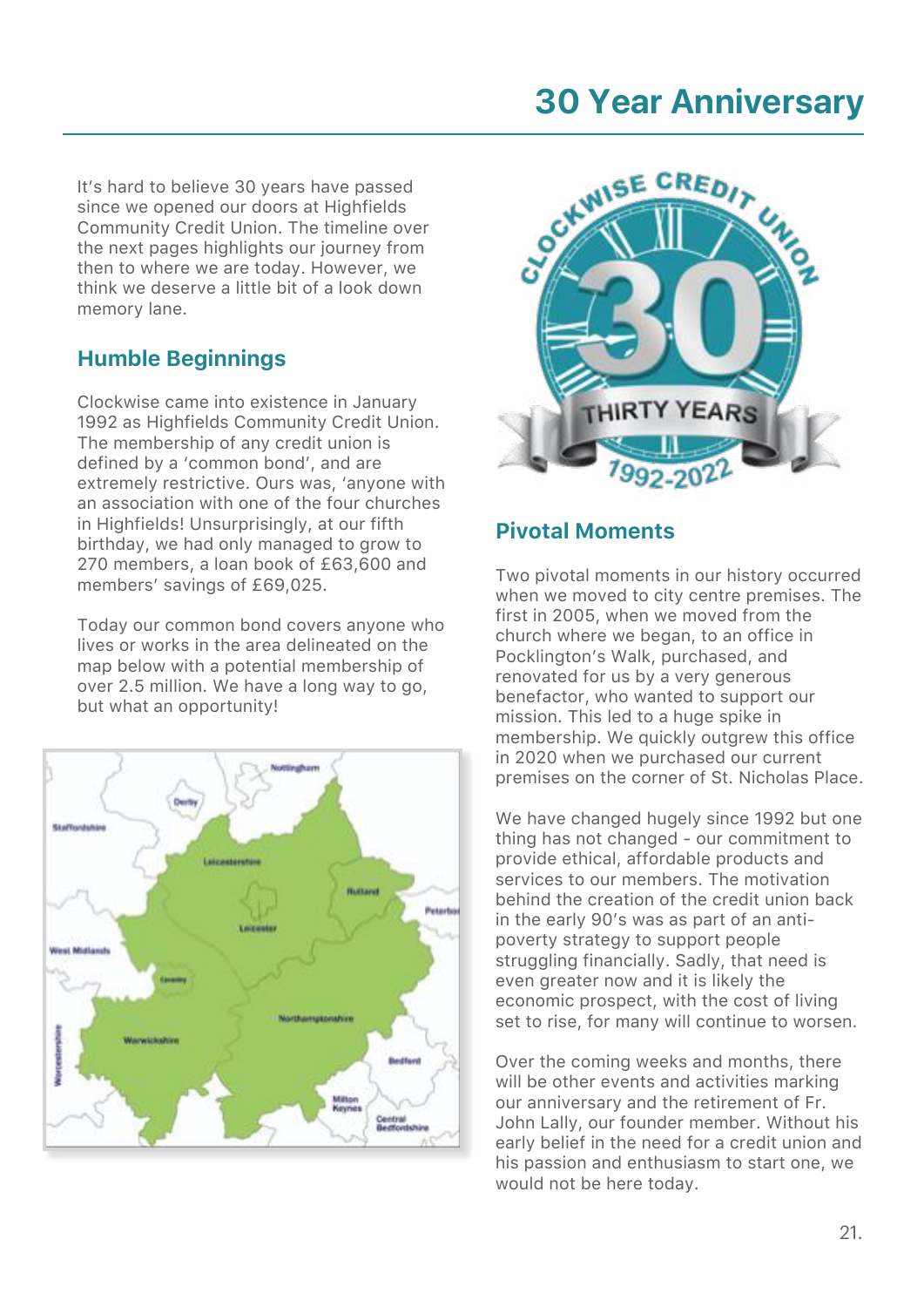It's hard to believe 30 years have passed since we opened our doors at Highfields Community Credit Union. The timeline over the next pages highlights our journey from then to where we are today. However, we think we deserve a little bit of a look down memory lane.

### Humble Beginnings

Clockwise came into existence in January 1992 as Highfields Community Credit Union. The membership of any credit union is defined by a 'common bond', and are extremely restrictive. Ours was, 'anyone with an association with one of the four churches in Highfields! Unsurprisingly, at our fifth birthday, we had only managed to grow to 270 members, a loan book of £63,600 and members' savings of £69,025.

Today our common bond covers anyone who lives or works in the area delineated on the map below with a potential membership of over 2.5 million. We have a long way to go, but what an opportunity!





#### Pivotal Moments

Two pivotal moments in our history occurred when we moved to city centre premises. The first in 2005, when we moved from the church where we began, to an office in Pocklington's Walk, purchased, and renovated for us by a very generous benefactor, who wanted to support our mission. This led to a huge spike in membership. We quickly outgrew this office in 2020 when we purchased our current premises on the corner of St. Nicholas Place.

We have changed hugely since 1992 but one thing has not changed - our commitment to provide ethical, affordable products and services to our members. The motivation behind the creation of the credit union back in the early 90's was as part of an antipoverty strategy to support people struggling financially. Sadly, that need is even greater now and it is likely the economic prospect, with the cost of living set to rise, for many will continue to worsen.

Over the coming weeks and months, there will be other events and activities marking our anniversary and the retirement of Fr. John Lally, our founder member. Without his early belief in the need for a credit union and his passion and enthusiasm to start one, we would not be here today.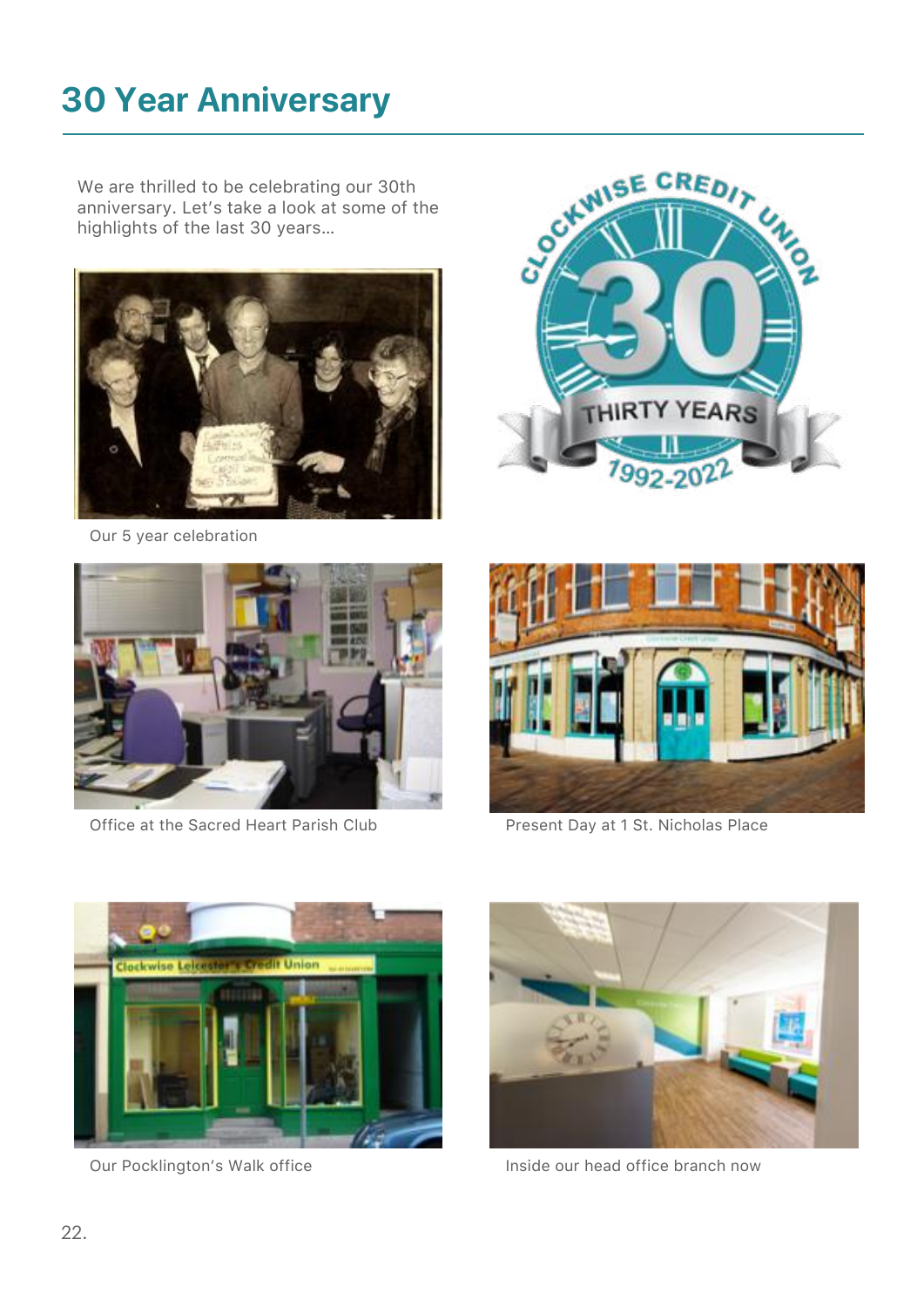We are thrilled to be celebrating our 30th anniversary. Let's take a look at some of the highlights of the last 30 years…



Our 5 year celebration



Office at the Sacred Heart Parish Club Present Day at 1 St. Nicholas Place









Our Pocklington's Walk office **Inside our head office branch now**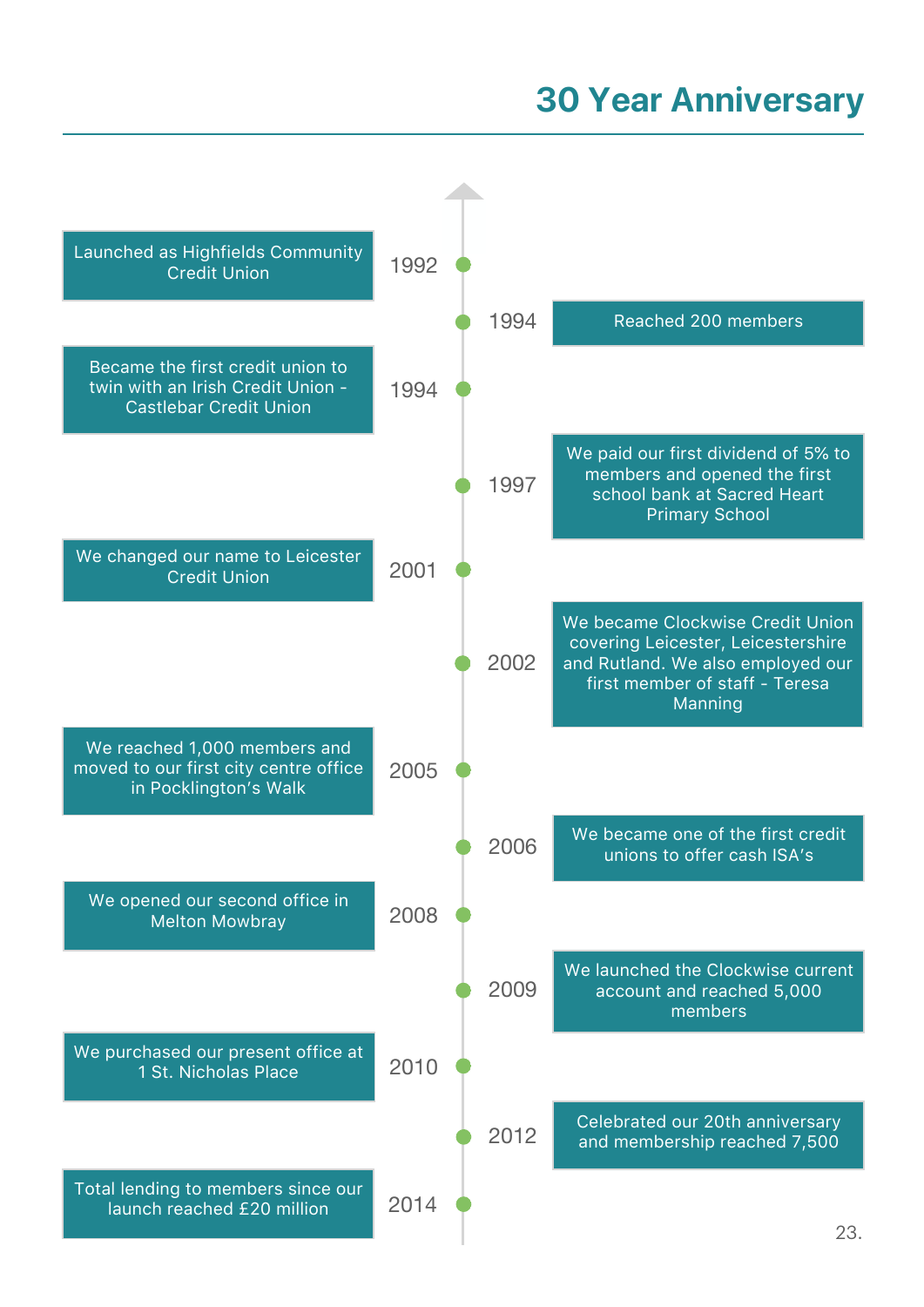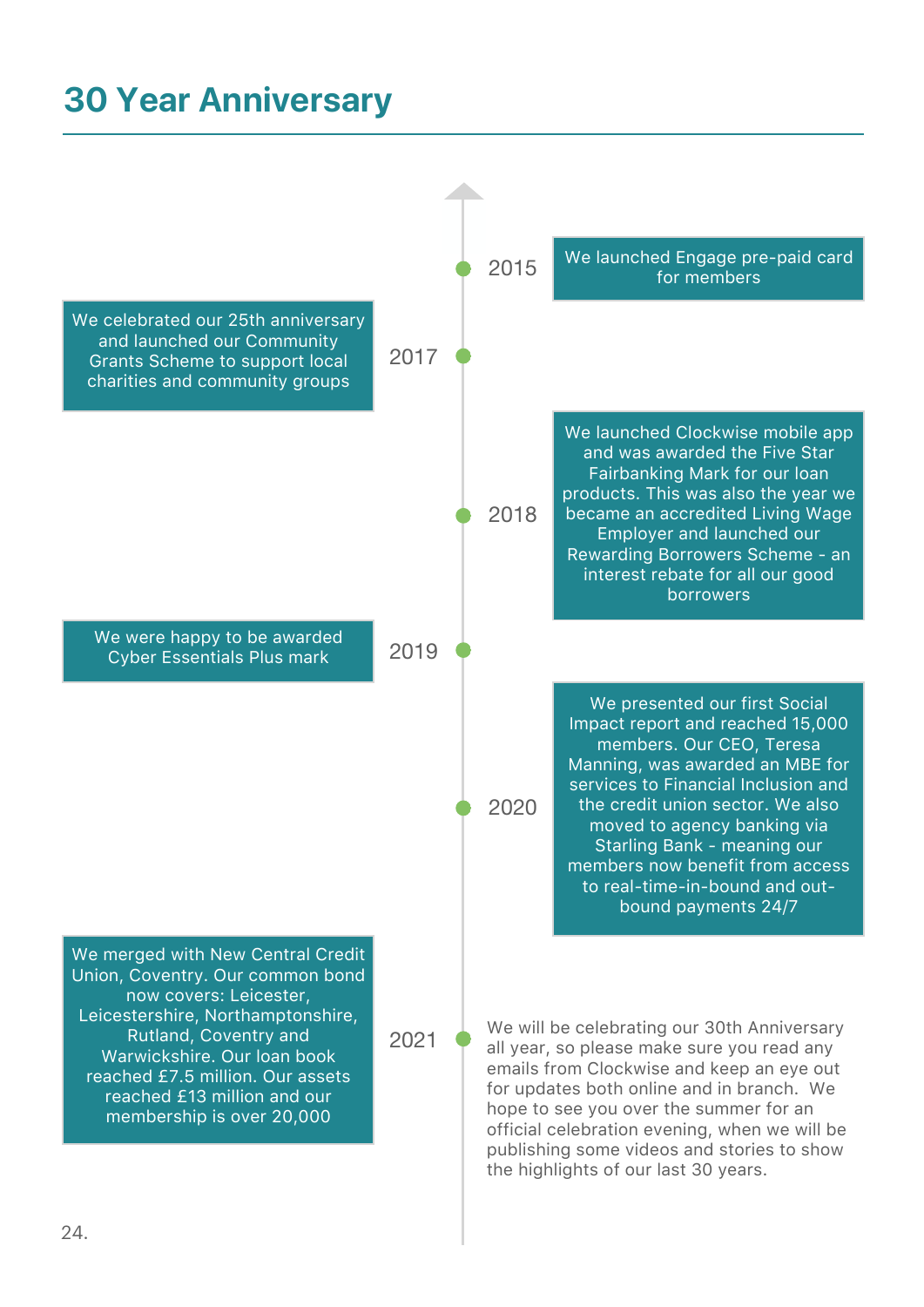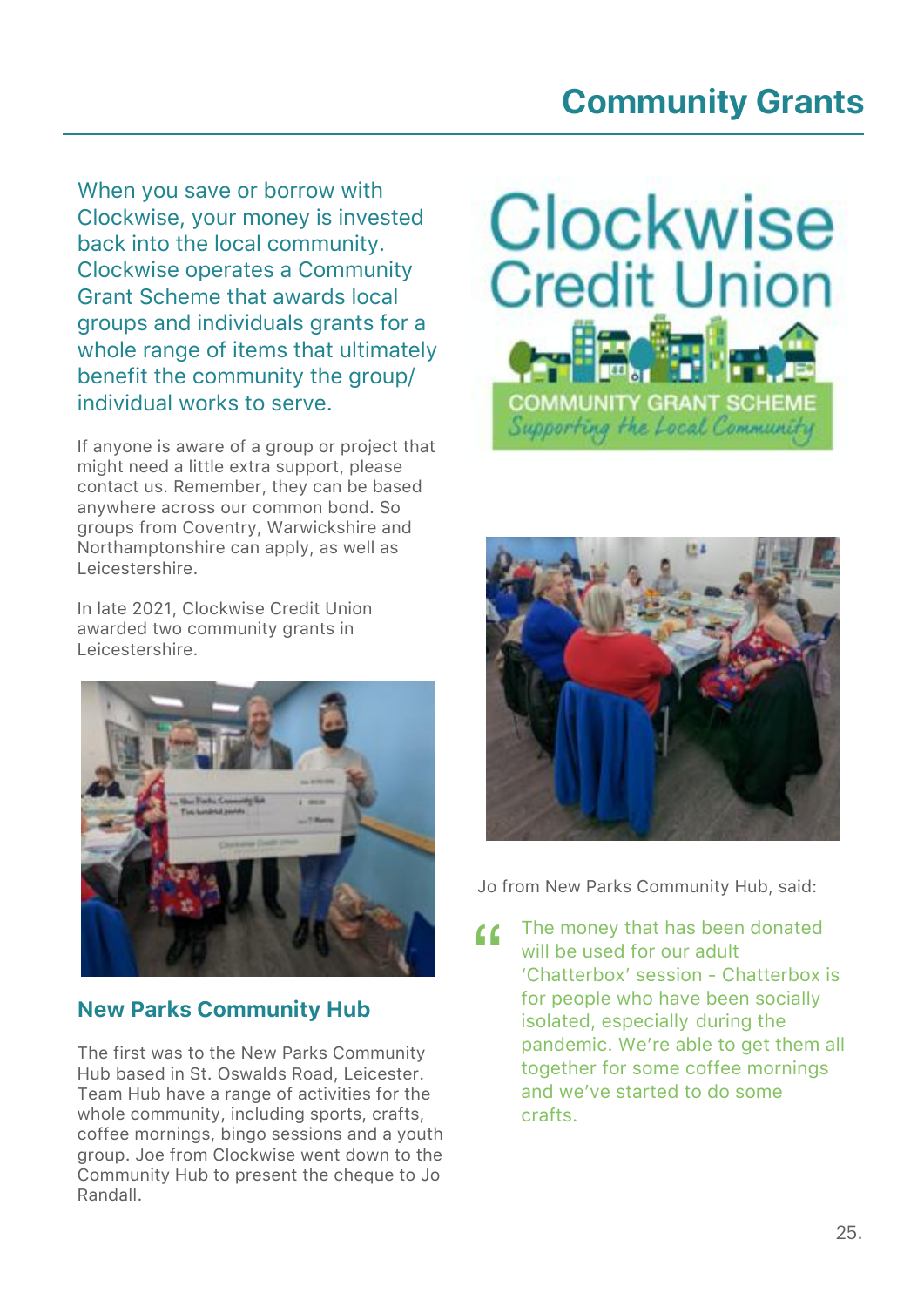# **Community Grants**

When you save or borrow with Clockwise, your money is invested back into the local community. Clockwise operates a Community Grant Scheme that awards local groups and individuals grants for a whole range of items that ultimately benefit the community the group/ individual works to serve.

If anyone is aware of a group or project that might need a little extra support, please contact us. Remember, they can be based anywhere across our common bond. So groups from Coventry, Warwickshire and Northamptonshire can apply, as well as Leicestershire.

In late 2021, Clockwise Credit Union awarded two community grants in Leicestershire.



### New Parks Community Hub

The first was to the New Parks Community Hub based in St. Oswalds Road, Leicester. Team Hub have a range of activities for the whole community, including sports, crafts, coffee mornings, bingo sessions and a youth group. Joe from Clockwise went down to the Community Hub to present the cheque to Jo Randall.





Jo from New Parks Community Hub, said:

The money that has been donated will be used for our adult 'Chatterbox' session - Chatterbox is for people who have been socially isolated, especially during the pandemic. We're able to get them all together for some coffee mornings and we've started to do some crafts.  $\epsilon$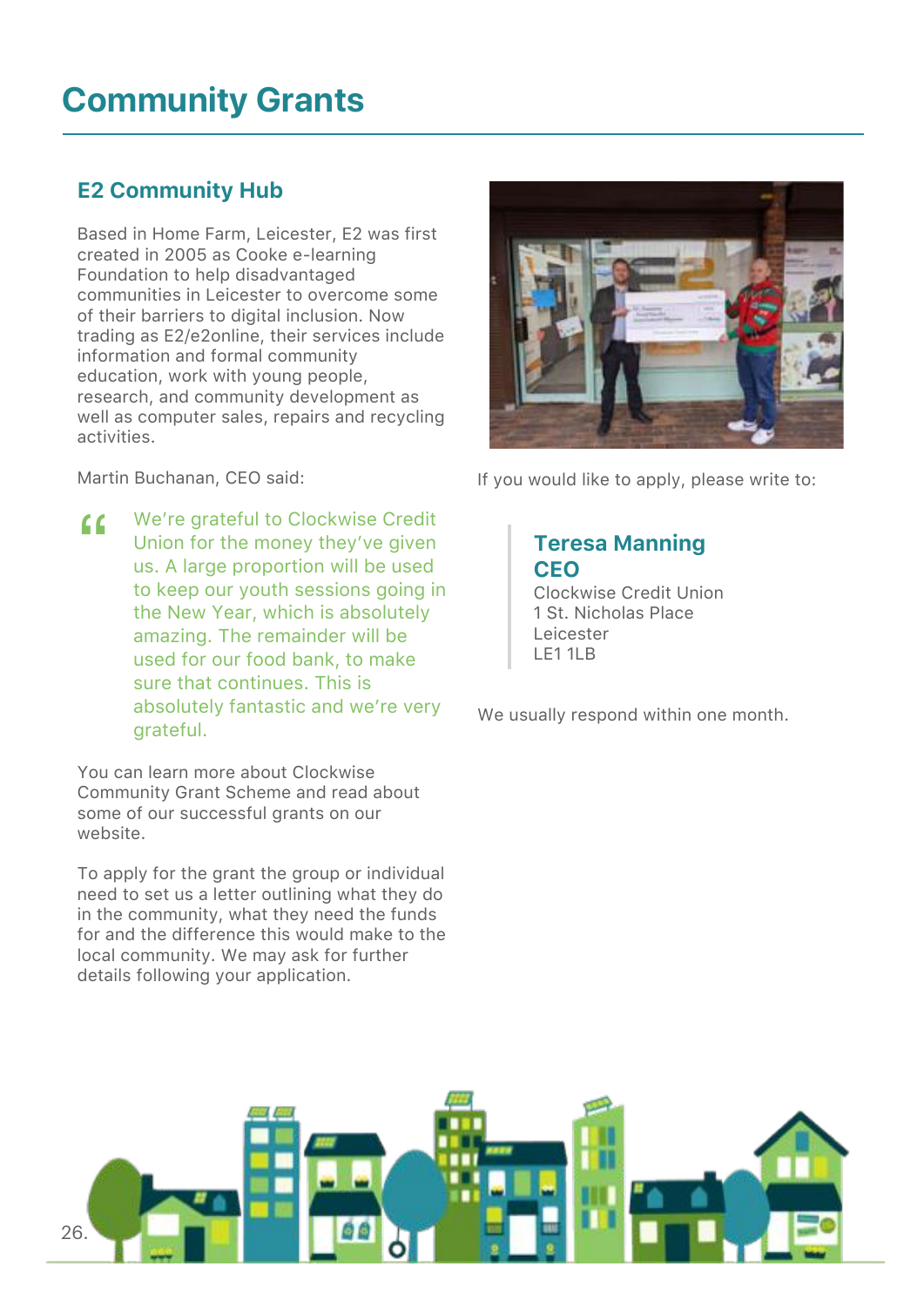# **Community Grants**

### E2 Community Hub

Based in Home Farm, Leicester, E2 was first created in 2005 as Cooke e-learning Foundation to help disadvantaged communities in Leicester to overcome some of their barriers to digital inclusion. Now trading as E2/e2online, their services include information and formal community education, work with young people, research, and community development as well as computer sales, repairs and recycling activities.

Martin Buchanan, CEO said:

We're grateful to Clockwise Credit Union for the money they've given us. A large proportion will be used to keep our youth sessions going in the New Year, which is absolutely amazing. The remainder will be used for our food bank, to make sure that continues. This is absolutely fantastic and we're very grateful.  $\epsilon$ 

You can learn more about Clockwise Community Grant Scheme and read about some of our successful grants on our website.

To apply for the grant the group or individual need to set us a letter outlining what they do in the community, what they need the funds for and the difference this would make to the local community. We may ask for further details following your application.



If you would like to apply, please write to:

### Teresa Manning **CEO**

 Clockwise Credit Union 1 St. Nicholas Place Leicester LE1 1LB

We usually respond within one month.